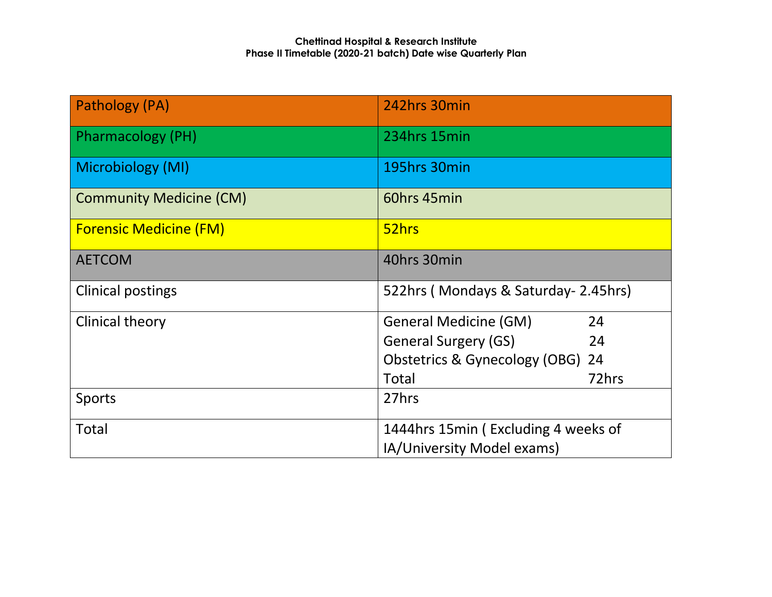| Pathology (PA)                 | 242hrs 30min                                                      |       |  |
|--------------------------------|-------------------------------------------------------------------|-------|--|
| <b>Pharmacology (PH)</b>       | 234hrs 15min                                                      |       |  |
| Microbiology (MI)              | 195hrs 30min                                                      |       |  |
| <b>Community Medicine (CM)</b> | 60hrs 45min                                                       |       |  |
| <b>Forensic Medicine (FM)</b>  | 52hrs                                                             |       |  |
| <b>AETCOM</b>                  | 40hrs 30min                                                       |       |  |
| <b>Clinical postings</b>       | 522hrs (Mondays & Saturday- 2.45hrs)                              |       |  |
| Clinical theory                | <b>General Medicine (GM)</b>                                      | 24    |  |
|                                | <b>General Surgery (GS)</b>                                       | 24    |  |
|                                | Obstetrics & Gynecology (OBG)                                     | 24    |  |
|                                | <b>Total</b>                                                      | 72hrs |  |
| <b>Sports</b>                  | 27hrs                                                             |       |  |
| Total                          | 1444hrs 15min (Excluding 4 weeks of<br>IA/University Model exams) |       |  |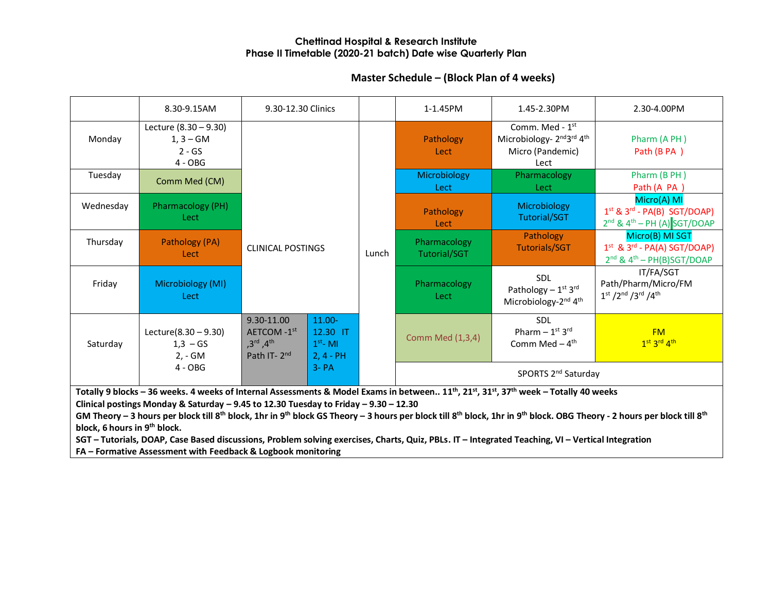# **Master Schedule – (Block Plan of 4 weeks)**

|           | 8.30-9.15AM                                                                                                                                                                             | 9.30-12.30 Clinics                                                                                    |                                                    |                                 | 1-1.45PM             | 1.45-2.30PM                                                                                                              | 2.30-4.00PM                                                                             |                                     |                                   |                                                                                           |
|-----------|-----------------------------------------------------------------------------------------------------------------------------------------------------------------------------------------|-------------------------------------------------------------------------------------------------------|----------------------------------------------------|---------------------------------|----------------------|--------------------------------------------------------------------------------------------------------------------------|-----------------------------------------------------------------------------------------|-------------------------------------|-----------------------------------|-------------------------------------------------------------------------------------------|
| Monday    | Lecture (8.30 - 9.30)<br>$1, 3 - GM$<br>$2 - GS$<br>$4 - OBG$                                                                                                                           |                                                                                                       |                                                    |                                 | Pathology<br>Lect    | Comm. Med - 1 <sup>st</sup><br>Microbiology- 2 <sup>nd</sup> 3 <sup>rd</sup> 4 <sup>th</sup><br>Micro (Pandemic)<br>Lect | Pharm (A PH)<br>Path (B PA)                                                             |                                     |                                   |                                                                                           |
| Tuesday   | Comm Med (CM)                                                                                                                                                                           |                                                                                                       |                                                    |                                 | Microbiology<br>Lect | Pharmacology<br>Lect                                                                                                     | Pharm (B PH)<br>Path (A PA )                                                            |                                     |                                   |                                                                                           |
| Wednesday | <b>Pharmacology (PH)</b><br>Lect                                                                                                                                                        |                                                                                                       |                                                    |                                 | Pathology<br>Lect    | Microbiology<br><b>Tutorial/SGT</b>                                                                                      | Micro(A) MI<br>$1st$ & $3rd$ - PA(B) SGT/DOAP)<br>$2^{nd}$ & $4^{th}$ – PH (A) SGT/DOAP |                                     |                                   |                                                                                           |
| Thursday  | Pathology (PA)<br>Lect                                                                                                                                                                  | <b>CLINICAL POSTINGS</b>                                                                              |                                                    |                                 |                      |                                                                                                                          | Lunch                                                                                   | Pharmacology<br><b>Tutorial/SGT</b> | Pathology<br><b>Tutorials/SGT</b> | Micro(B) MI SGT<br>$1st$ & $3rd$ - PA(A) SGT/DOAP)<br>$2^{nd}$ & $4^{th}$ – PH(B)SGT/DOAP |
| Friday    | Microbiology (MI)<br>Lect                                                                                                                                                               |                                                                                                       |                                                    |                                 | Pharmacology<br>Lect | <b>SDL</b><br>Pathology $-1^{st}$ 3rd<br>Microbiology-2 <sup>nd</sup> 4 <sup>th</sup>                                    | IT/FA/SGT<br>Path/Pharm/Micro/FM<br>$1^{st}$ /2nd /3rd /4th                             |                                     |                                   |                                                                                           |
| Saturday  | Lecture $(8.30 - 9.30)$<br>$1,3 - GS$<br>2, - GM                                                                                                                                        | 9.30-11.00<br>AETCOM-1 <sup>st</sup><br>$,3^{\text{rd}}$ , 4 <sup>th</sup><br>Path IT-2 <sup>nd</sup> | $11.00 -$<br>12.30 IT<br>$1st$ - MI<br>$2, 4 - PH$ |                                 | Comm Med (1,3,4)     | <b>SDL</b><br>Pharm $-1$ <sup>st</sup> 3 <sup>rd</sup><br>Comm Med $-4$ <sup>th</sup>                                    | <b>FM</b><br>1st 3rd 4th                                                                |                                     |                                   |                                                                                           |
|           | $4 - OBG$<br>$3 - PA$                                                                                                                                                                   |                                                                                                       |                                                    | SPORTS 2 <sup>nd</sup> Saturday |                      |                                                                                                                          |                                                                                         |                                     |                                   |                                                                                           |
|           | Totally 9 blocks - 36 weeks. 4 weeks of Internal Assessments & Model Exams in between 11 <sup>th</sup> , 21 <sup>st</sup> , 31 <sup>st</sup> , 37 <sup>th</sup> week - Totally 40 weeks |                                                                                                       |                                                    |                                 |                      |                                                                                                                          |                                                                                         |                                     |                                   |                                                                                           |

**Clinical postings Monday & Saturday – 9.45 to 12.30 Tuesday to Friday – 9.30 – 12.30**

GM Theory - 3 hours per block till 8<sup>th</sup> block, 1hr in 9<sup>th</sup> block GS Theory - 3 hours per block till 8<sup>th</sup> block, 1hr in 9<sup>th</sup> block. OBG Theory - 2 hours per block till 8<sup>th</sup> **block, 6 hours in 9th block.**

**SGT – Tutorials, DOAP, Case Based discussions, Problem solving exercises, Charts, Quiz, PBLs. IT – Integrated Teaching, VI – Vertical Integration**

**FA – Formative Assessment with Feedback & Logbook monitoring**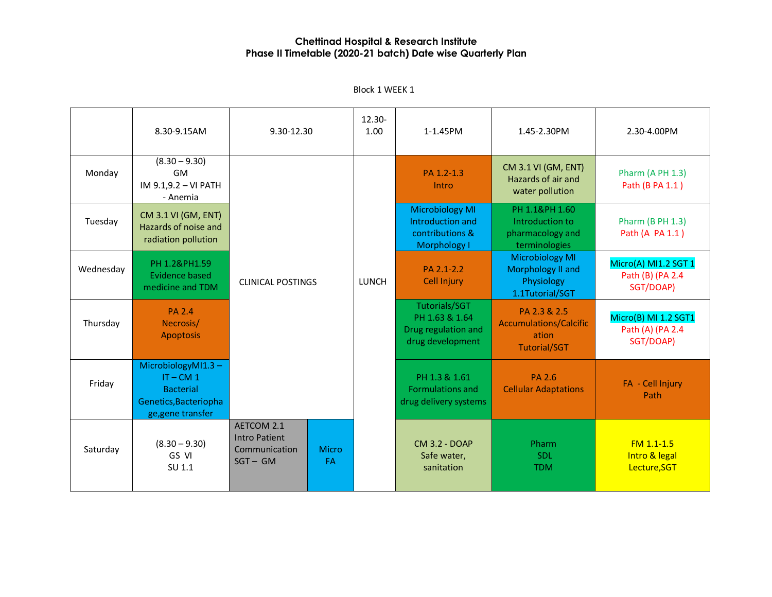8.30-9.15AM 9.30-12.30 12.30- 1.00 1-1.45PM 1.45-2.30PM 2.30-4.00PM Monday  $(8.30 - 9.30)$ GM IM 9.1,9.2 – VI PATH - Anemia CLINICAL POSTINGS | LUNCH PA 1.2-1.3 Intro CM 3.1 VI (GM, ENT) Hazards of air and water pollution Pharm (A PH 1.3) Path (B PA 1.1 ) Tuesday CM 3.1 VI (GM, ENT) Hazards of noise and radiation pollution Microbiology MI Introduction and contributions & Morphology I PH 1.1&PH 1.60 Introduction to pharmacology and terminologies Pharm (B PH 1.3) Path (A PA 1.1 ) Wednesday PH 1.2&PH1.59 Evidence based medicine and TDM PA 2.1-2.2 Cell Injury Microbiology MI Morphology II and Physiology 1.1Tutorial/SGT Micro(A) MI1.2 SGT 1 Path (B) (PA 2.4 SGT/DOAP) Thursday PA 2.4 Necrosis/ Apoptosis Tutorials/SGT PH 1.63 & 1.64 Drug regulation and drug development PA 2.3 & 2.5 Accumulations/Calcific ation Tutorial/SGT Micro(B) MI 1.2 SGT1 Path (A) (PA 2.4 SGT/DOAP) Friday MicrobiologyMI1.3 –  $IT - CM 1$ **Bacterial** Genetics,Bacteriopha ge,gene transfer PH 1.3 & 1.61 Formulations and drug delivery systems PA 2.6 Cellular Adaptations FA - Cell Injury Path Saturday  $(8.30 - 9.30)$ GS VI SU 1.1 AETCOM 2.1 Intro Patient Communication SGT – GM Micro FA CM 3.2 - DOAP Safe water, sanitation Pharm SDL TDM FM 1.1-1.5 Intro & legal Lecture,SGT

Block 1 WEEK 1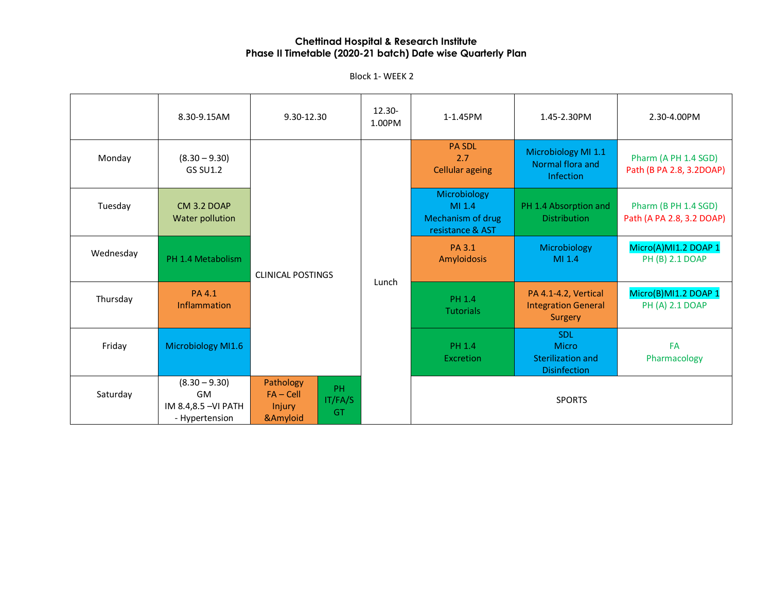Block 1- WEEK 2

|           | 8.30-9.15AM                                                            | 9.30-12.30                                                            | 12.30-<br>1.00PM | 1-1.45PM                                                        | 1.45-2.30PM                                                            | 2.30-4.00PM                                       |                                                      |                                                  |
|-----------|------------------------------------------------------------------------|-----------------------------------------------------------------------|------------------|-----------------------------------------------------------------|------------------------------------------------------------------------|---------------------------------------------------|------------------------------------------------------|--------------------------------------------------|
| Monday    | $(8.30 - 9.30)$<br><b>GS SU1.2</b>                                     |                                                                       |                  |                                                                 |                                                                        | <b>PA SDL</b><br>2.7<br><b>Cellular ageing</b>    | Microbiology MI 1.1<br>Normal flora and<br>Infection | Pharm (A PH 1.4 SGD)<br>Path (B PA 2.8, 3.2DOAP) |
| Tuesday   | <b>CM 3.2 DOAP</b><br>Water pollution                                  |                                                                       |                  | Microbiology<br>MI 1.4<br>Mechanism of drug<br>resistance & AST | PH 1.4 Absorption and<br><b>Distribution</b>                           | Pharm (B PH 1.4 SGD)<br>Path (A PA 2.8, 3.2 DOAP) |                                                      |                                                  |
| Wednesday | PH 1.4 Metabolism                                                      | <b>CLINICAL POSTINGS</b><br>Lunch                                     |                  | <b>PA 3.1</b><br>Amyloidosis                                    | Microbiology<br>MI 1.4                                                 | Micro(A)MI1.2 DOAP 1<br>PH (B) 2.1 DOAP           |                                                      |                                                  |
| Thursday  | <b>PA4.1</b><br>Inflammation                                           |                                                                       |                  | PH 1.4<br><b>Tutorials</b>                                      | PA 4.1-4.2, Vertical<br><b>Integration General</b><br>Surgery          | Micro(B)MI1.2 DOAP 1<br>PH (A) 2.1 DOAP           |                                                      |                                                  |
| Friday    | Microbiology MI1.6                                                     |                                                                       |                  | <b>PH 1.4</b><br><b>Excretion</b>                               | <b>SDL</b><br>Micro<br><b>Sterilization and</b><br><b>Disinfection</b> | <b>FA</b><br>Pharmacology                         |                                                      |                                                  |
| Saturday  | $(8.30 - 9.30)$<br><b>GM</b><br>IM 8.4,8.5 - VI PATH<br>- Hypertension | Pathology<br>PH<br>$FA - Cell$<br>IT/FA/S<br>Injury<br>GT<br>&Amyloid |                  |                                                                 | <b>SPORTS</b>                                                          |                                                   |                                                      |                                                  |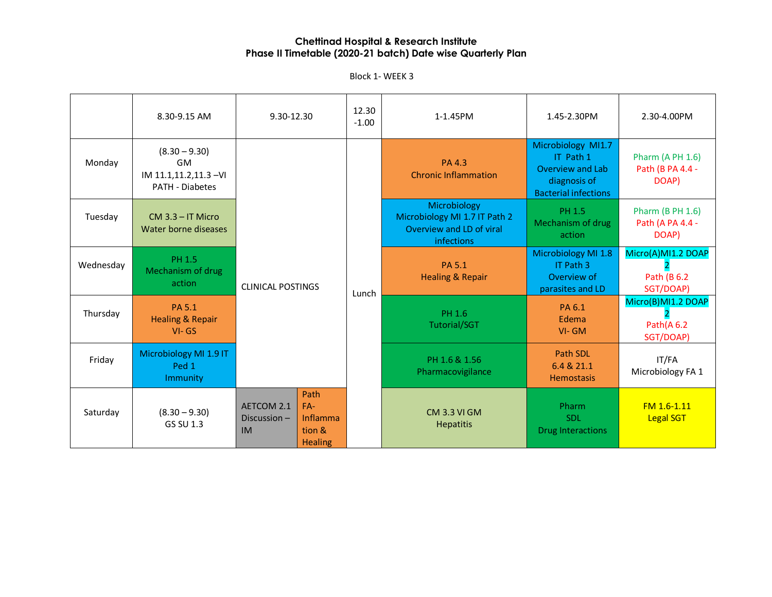Block 1- WEEK 3

|           | 8.30-9.15 AM                                                              | 9.30-12.30                                |                                                       | 12.30<br>$-1.00$ | 1-1.45PM                                                                                | 1.45-2.30PM                                                                                               | 2.30-4.00PM                                          |
|-----------|---------------------------------------------------------------------------|-------------------------------------------|-------------------------------------------------------|------------------|-----------------------------------------------------------------------------------------|-----------------------------------------------------------------------------------------------------------|------------------------------------------------------|
| Monday    | $(8.30 - 9.30)$<br>GM<br>IM 11.1,11.2,11.3 - VI<br><b>PATH - Diabetes</b> | <b>CLINICAL POSTINGS</b>                  |                                                       |                  | <b>PA4.3</b><br><b>Chronic Inflammation</b>                                             | Microbiology MI1.7<br>IT Path 1<br><b>Overview and Lab</b><br>diagnosis of<br><b>Bacterial infections</b> | <b>Pharm (A PH 1.6)</b><br>Path (B PA 4.4 -<br>DOAP) |
| Tuesday   | $CM$ 3.3 – IT Micro<br>Water borne diseases                               |                                           |                                                       |                  | Microbiology<br>Microbiology MI 1.7 IT Path 2<br>Overview and LD of viral<br>infections | PH 1.5<br>Mechanism of drug<br>action                                                                     | Pharm (B PH 1.6)<br>Path (A PA 4.4 -<br>DOAP)        |
| Wednesday | <b>PH 1.5</b><br>Mechanism of drug<br>action                              |                                           |                                                       | Lunch            | PA 5.1<br><b>Healing &amp; Repair</b>                                                   | Microbiology MI 1.8<br>IT Path 3<br>Overview of<br>parasites and LD                                       | Micro(A)MI1.2 DOAP<br>Path (B 6.2<br>SGT/DOAP)       |
| Thursday  | PA 5.1<br><b>Healing &amp; Repair</b><br>$VI - GS$                        |                                           |                                                       |                  | PH 1.6<br><b>Tutorial/SGT</b>                                                           | PA 6.1<br>Edema<br>$VI - GM$                                                                              | Micro(B)MI1.2 DOAP<br>Path(A6.2<br>SGT/DOAP)         |
| Friday    | Microbiology MI 1.9 IT<br>Ped 1<br><b>Immunity</b>                        |                                           |                                                       |                  | PH 1.6 & 1.56<br>Pharmacovigilance                                                      | Path SDL<br>6.4 & 21.1<br><b>Hemostasis</b>                                                               | IT/FA<br>Microbiology FA 1                           |
| Saturday  | $(8.30 - 9.30)$<br>GS SU 1.3                                              | AETCOM 2.1<br>Discussion $-$<br><b>IM</b> | Path<br>$FA-$<br>Inflamma<br>tion &<br><b>Healing</b> |                  | <b>CM 3.3 VI GM</b><br><b>Hepatitis</b>                                                 | Pharm<br><b>SDL</b><br><b>Drug Interactions</b>                                                           | FM 1.6-1.11<br><b>Legal SGT</b>                      |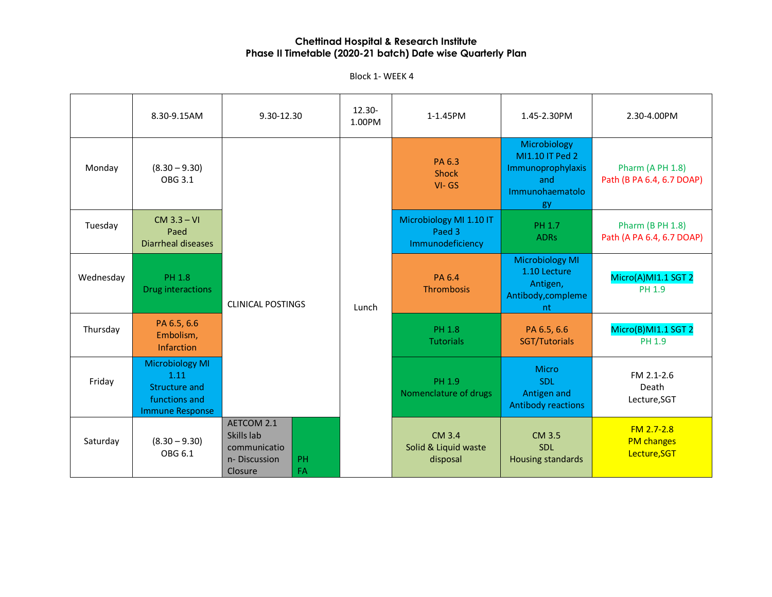Block 1- WEEK 4

|           | 8.30-9.15AM                                                                                | 9.30-12.30                                                          |          | 12.30-<br>1.00PM | 1-1.45PM                                              | 1.45-2.30PM                                                                          | 2.30-4.00PM                                          |
|-----------|--------------------------------------------------------------------------------------------|---------------------------------------------------------------------|----------|------------------|-------------------------------------------------------|--------------------------------------------------------------------------------------|------------------------------------------------------|
| Monday    | $(8.30 - 9.30)$<br>OBG 3.1                                                                 |                                                                     |          |                  | PA 6.3<br><b>Shock</b><br>$VI - GS$                   | Microbiology<br>MI1.10 IT Ped 2<br>Immunoprophylaxis<br>and<br>Immunohaematolo<br>gy | Pharm (A PH 1.8)<br>Path (B PA 6.4, 6.7 DOAP)        |
| Tuesday   | $CM$ 3.3 – VI<br>Paed<br><b>Diarrheal diseases</b>                                         |                                                                     |          |                  | Microbiology MI 1.10 IT<br>Paed 3<br>Immunodeficiency | PH 1.7<br><b>ADRs</b>                                                                | <b>Pharm (B PH 1.8)</b><br>Path (A PA 6.4, 6.7 DOAP) |
| Wednesday | <b>PH 1.8</b><br>Drug interactions                                                         | <b>CLINICAL POSTINGS</b>                                            |          | Lunch            | <b>PA 6.4</b><br>Thrombosis                           | <b>Microbiology MI</b><br>1.10 Lecture<br>Antigen,<br>Antibody, compleme<br>nt       | Micro(A)MI1.1 SGT 2<br>PH 1.9                        |
| Thursday  | PA 6.5, 6.6<br>Embolism,<br>Infarction                                                     |                                                                     |          |                  | <b>PH 1.8</b><br><b>Tutorials</b>                     | PA 6.5, 6.6<br>SGT/Tutorials                                                         | Micro(B)MI1.1 SGT 2<br>PH 1.9                        |
| Friday    | <b>Microbiology MI</b><br>1.11<br>Structure and<br>functions and<br><b>Immune Response</b> |                                                                     |          |                  | PH 1.9<br>Nomenclature of drugs                       | <b>Micro</b><br><b>SDL</b><br>Antigen and<br><b>Antibody reactions</b>               | FM 2.1-2.6<br>Death<br>Lecture, SGT                  |
| Saturday  | $(8.30 - 9.30)$<br>OBG 6.1                                                                 | AETCOM 2.1<br>Skills lab<br>communicatio<br>n-Discussion<br>Closure | PH<br>FA |                  | CM 3.4<br>Solid & Liquid waste<br>disposal            | CM 3.5<br><b>SDL</b><br><b>Housing standards</b>                                     | $FM 2.7 - 2.8$<br><b>PM</b> changes<br>Lecture, SGT  |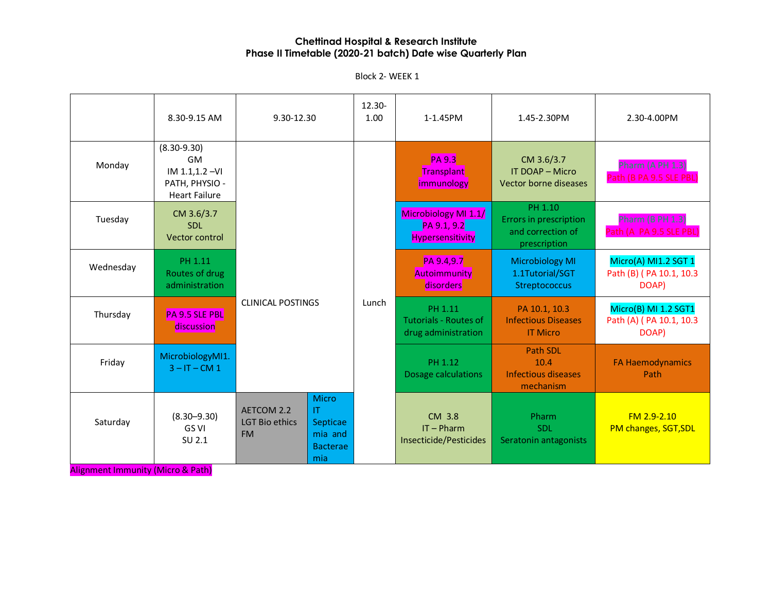Block 2- WEEK 1

|           | 8.30-9.15 AM                                                                                                   | 9.30-12.30                                       |                                                                      | 12.30-<br>1.00 | 1-1.45PM                                                       | 1.45-2.30PM                                                                   | 2.30-4.00PM                                              |  |  |  |       |                                                                |                                                                |                                                          |
|-----------|----------------------------------------------------------------------------------------------------------------|--------------------------------------------------|----------------------------------------------------------------------|----------------|----------------------------------------------------------------|-------------------------------------------------------------------------------|----------------------------------------------------------|--|--|--|-------|----------------------------------------------------------------|----------------------------------------------------------------|----------------------------------------------------------|
| Monday    | $(8.30 - 9.30)$<br><b>GM</b><br>IM 1.1,1.2 - VI<br>PATH, PHYSIO -<br><b>Heart Failure</b>                      |                                                  |                                                                      |                | <b>PA 9.3</b><br>Transplant<br>immunology                      | CM 3.6/3.7<br>IT DOAP - Micro<br>Vector borne diseases                        | Pharm (A PH 1.3)<br>Path (B PA 9.5 SLE PBL)              |  |  |  |       |                                                                |                                                                |                                                          |
| Tuesday   | CM 3.6/3.7<br><b>SDL</b><br>Vector control                                                                     |                                                  |                                                                      |                | Microbiology MI 1.1/<br>PA 9.1, 9.2<br><b>Hypersensitivity</b> | PH 1.10<br><b>Errors in prescription</b><br>and correction of<br>prescription | Pharm (B PH 1.3)<br>Path (A PA 9.5 SLE PBL)              |  |  |  |       |                                                                |                                                                |                                                          |
| Wednesday | PH 1.11<br>Routes of drug<br>administration                                                                    | <b>CLINICAL POSTINGS</b>                         |                                                                      |                | PA 9.4,9.7<br>Autoimmunity<br>disorders                        | <b>Microbiology MI</b><br>1.1Tutorial/SGT<br>Streptococcus                    | Micro(A) MI1.2 SGT 1<br>Path (B) (PA 10.1, 10.3<br>DOAP) |  |  |  |       |                                                                |                                                                |                                                          |
| Thursday  | PA 9.5 SLE PBL<br>discussion                                                                                   |                                                  |                                                                      |                |                                                                |                                                                               |                                                          |  |  |  | Lunch | PH 1.11<br><b>Tutorials - Routes of</b><br>drug administration | PA 10.1, 10.3<br><b>Infectious Diseases</b><br><b>IT Micro</b> | Micro(B) MI 1.2 SGT1<br>Path (A) (PA 10.1, 10.3<br>DOAP) |
| Friday    | MicrobiologyMI1.<br>$3 - IT - CM 1$                                                                            |                                                  |                                                                      |                | PH 1.12<br>Dosage calculations                                 | Path SDL<br>10.4<br><b>Infectious diseases</b><br>mechanism                   | <b>FA Haemodynamics</b><br>Path                          |  |  |  |       |                                                                |                                                                |                                                          |
| Saturday  | $(8.30 - 9.30)$<br>GS VI<br>SU 2.1<br>$L_{\rm{tot}}$ / M At $\sim$ and $\sim$ D and $\sim$ M at $L_{\rm{tot}}$ | AETCOM 2.2<br><b>LGT Bio ethics</b><br><b>FM</b> | <b>Micro</b><br>IT.<br>Septicae<br>mia and<br><b>Bacterae</b><br>mia |                | CM 3.8<br>$IT - Pharm$<br>Insecticide/Pesticides               | Pharm<br><b>SDL</b><br>Seratonin antagonists                                  | $FM 2.9 - 2.10$<br>PM changes, SGT, SDL                  |  |  |  |       |                                                                |                                                                |                                                          |

Alignment Immunity (Micro & Path)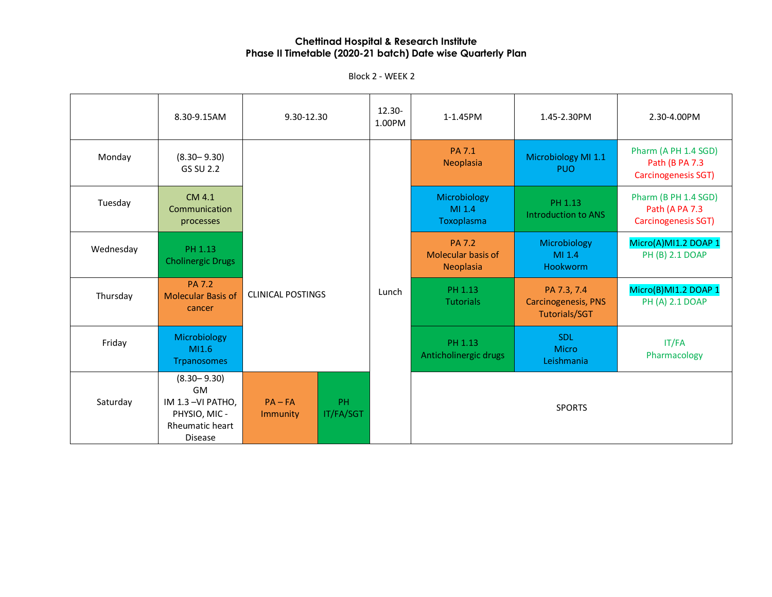|           | 8.30-9.15AM                                                                                            | 9.30-12.30               |                 | $12.30 -$<br>1.00PM | 1-1.45PM                                                | 1.45-2.30PM                           | 2.30-4.00PM                                                   |                             |                                                                   |                                         |
|-----------|--------------------------------------------------------------------------------------------------------|--------------------------|-----------------|---------------------|---------------------------------------------------------|---------------------------------------|---------------------------------------------------------------|-----------------------------|-------------------------------------------------------------------|-----------------------------------------|
| Monday    | $(8.30 - 9.30)$<br>GS SU 2.2                                                                           |                          |                 |                     | <b>PA 7.1</b><br>Neoplasia                              | Microbiology MI 1.1<br><b>PUO</b>     | Pharm (A PH 1.4 SGD)<br>Path (B PA 7.3<br>Carcinogenesis SGT) |                             |                                                                   |                                         |
| Tuesday   | CM 4.1<br>Communication<br>processes                                                                   |                          |                 |                     | Microbiology<br>MI 1.4<br>Toxoplasma                    | PH 1.13<br><b>Introduction to ANS</b> | Pharm (B PH 1.4 SGD)<br>Path (A PA 7.3<br>Carcinogenesis SGT) |                             |                                                                   |                                         |
| Wednesday | PH 1.13<br><b>Cholinergic Drugs</b>                                                                    |                          |                 |                     | <b>PA 7.2</b><br><b>Molecular basis of</b><br>Neoplasia | Microbiology<br>MI 1.4<br>Hookworm    | Micro(A)MI1.2 DOAP 1<br>PH (B) 2.1 DOAP                       |                             |                                                                   |                                         |
| Thursday  | <b>PA 7.2</b><br><b>Molecular Basis of</b><br>cancer                                                   | <b>CLINICAL POSTINGS</b> |                 |                     |                                                         |                                       | Lunch                                                         | PH 1.13<br><b>Tutorials</b> | PA 7.3, 7.4<br><b>Carcinogenesis, PNS</b><br><b>Tutorials/SGT</b> | Micro(B)MI1.2 DOAP 1<br>PH (A) 2.1 DOAP |
| Friday    | Microbiology<br>M1.6<br><b>Trpanosomes</b>                                                             |                          |                 |                     | PH 1.13<br>Anticholinergic drugs                        | SDL<br><b>Micro</b><br>Leishmania     | IT/FA<br>Pharmacology                                         |                             |                                                                   |                                         |
| Saturday  | $(8.30 - 9.30)$<br><b>GM</b><br>IM 1.3-VI PATHO,<br>PHYSIO, MIC -<br>Rheumatic heart<br><b>Disease</b> | $PA - FA$<br>Immunity    | PH<br>IT/FA/SGT |                     |                                                         | <b>SPORTS</b>                         |                                                               |                             |                                                                   |                                         |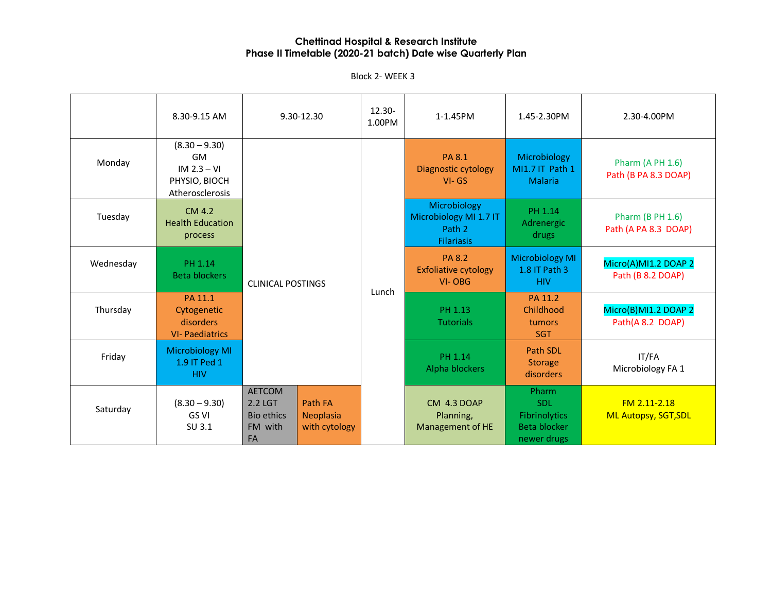Block 2- WEEK 3

|           | 8.30-9.15 AM                                                               |                                                                       | 9.30-12.30                                   | 12.30-<br>1.00PM            | 1-1.45PM                                                              | 1.45-2.30PM                                                         | 2.30-4.00PM                                     |
|-----------|----------------------------------------------------------------------------|-----------------------------------------------------------------------|----------------------------------------------|-----------------------------|-----------------------------------------------------------------------|---------------------------------------------------------------------|-------------------------------------------------|
| Monday    | $(8.30 - 9.30)$<br>GM<br>$IM 2.3 - VI$<br>PHYSIO, BIOCH<br>Atherosclerosis |                                                                       |                                              |                             | <b>PA 8.1</b><br>Diagnostic cytology<br>$VI - GS$                     | Microbiology<br>MI1.7 IT Path 1<br><b>Malaria</b>                   | <b>Pharm (A PH 1.6)</b><br>Path (B PA 8.3 DOAP) |
| Tuesday   | CM 4.2<br><b>Health Education</b><br>process                               |                                                                       | <b>CLINICAL POSTINGS</b>                     |                             | Microbiology<br>Microbiology MI 1.7 IT<br>Path 2<br><b>Filariasis</b> | PH 1.14<br>Adrenergic<br>drugs                                      | <b>Pharm (B PH 1.6)</b><br>Path (A PA 8.3 DOAP) |
| Wednesday | PH 1.14<br><b>Beta blockers</b>                                            |                                                                       |                                              |                             | <b>PA 8.2</b><br><b>Exfoliative cytology</b><br>VI-OBG                | <b>Microbiology MI</b><br>1.8 IT Path 3<br><b>HIV</b>               | Micro(A)MI1.2 DOAP 2<br>Path (B 8.2 DOAP)       |
| Thursday  | PA 11.1<br>Cytogenetic<br>disorders<br><b>VI- Paediatrics</b>              |                                                                       | Lunch                                        | PH 1.13<br><b>Tutorials</b> | PA 11.2<br>Childhood<br>tumors<br><b>SGT</b>                          | Micro(B)MI1.2 DOAP 2<br>Path(A 8.2 DOAP)                            |                                                 |
| Friday    | <b>Microbiology MI</b><br>1.9 IT Ped 1<br><b>HIV</b>                       |                                                                       |                                              |                             | PH 1.14<br>Alpha blockers                                             | Path SDL<br><b>Storage</b><br>disorders                             | IT/FA<br>Microbiology FA 1                      |
| Saturday  | $(8.30 - 9.30)$<br>GS VI<br>SU 3.1                                         | <b>AETCOM</b><br>2.2 LGT<br><b>Bio ethics</b><br>FM with<br><b>FA</b> | <b>Path FA</b><br>Neoplasia<br>with cytology |                             | CM 4.3 DOAP<br>Planning,<br>Management of HE                          | Pharm<br>SDL<br><b>Fibrinolytics</b><br>Beta blocker<br>newer drugs | FM 2.11-2.18<br><b>ML Autopsy, SGT, SDL</b>     |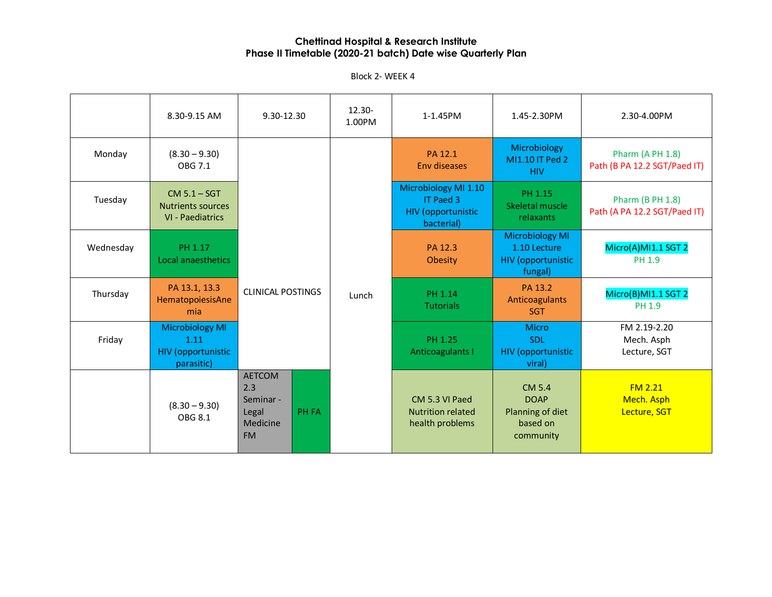Block 2- WEEK 4

|           | 8.30-9.15 AM                                                              | 9.30-12.30                                                                          | 12.30-<br>1.00PM | 1-1.45PM                                                                     | 1.45-2.30PM                                                                    | 2.30-4.00PM                                             |
|-----------|---------------------------------------------------------------------------|-------------------------------------------------------------------------------------|------------------|------------------------------------------------------------------------------|--------------------------------------------------------------------------------|---------------------------------------------------------|
| Monday    | $(8.30 - 9.30)$<br>OBG 7.1                                                |                                                                                     |                  | PA 12.1<br>Env diseases                                                      | Microbiology<br>MI1.10 IT Ped 2<br><b>HIV</b>                                  | Pharm (A PH 1.8)<br>Path (B PA 12.2 SGT/Paed IT)        |
| Tuesday   | $CM 5.1 - SGT$<br><b>Nutrients sources</b><br>VI - Paediatrics            |                                                                                     |                  | Microbiology MI 1.10<br>IT Paed 3<br><b>HIV</b> (opportunistic<br>bacterial) | PH 1.15<br>Skeletal muscle<br>relaxants                                        | <b>Pharm (B PH 1.8)</b><br>Path (A PA 12.2 SGT/Paed IT) |
| Wednesday | PH 1.17<br>Local anaesthetics                                             |                                                                                     |                  | PA 12.3<br>Obesity                                                           | <b>Microbiology MI</b><br>1.10 Lecture<br><b>HIV</b> (opportunistic<br>fungal) | Micro(A)MI1.1 SGT 2<br>PH 1.9                           |
| Thursday  | PA 13.1, 13.3<br>HematopoiesisAne<br>mia                                  | <b>CLINICAL POSTINGS</b>                                                            | Lunch            | PH 1.14<br><b>Tutorials</b>                                                  | PA 13.2<br>Anticoagulants<br><b>SGT</b>                                        | Micro(B)MI1.1 SGT 2<br>PH 1.9                           |
| Friday    | <b>Microbiology MI</b><br>1.11<br><b>HIV (opportunistic</b><br>parasitic) |                                                                                     |                  | PH 1.25<br>Anticoagulants I                                                  | <b>Micro</b><br>SDI.<br><b>HIV</b> (opportunistic<br>viral)                    | FM 2.19-2.20<br>Mech. Asph<br>Lecture, SGT              |
|           | $(8.30 - 9.30)$<br><b>OBG 8.1</b>                                         | <b>AETCOM</b><br>2.3<br>Seminar -<br><b>PH FA</b><br>Legal<br>Medicine<br><b>FM</b> |                  | CM 5.3 VI Paed<br><b>Nutrition related</b><br>health problems                | CM 5.4<br><b>DOAP</b><br>Planning of diet<br>based on<br>community             | FM <sub>2.21</sub><br>Mech. Asph<br>Lecture, SGT        |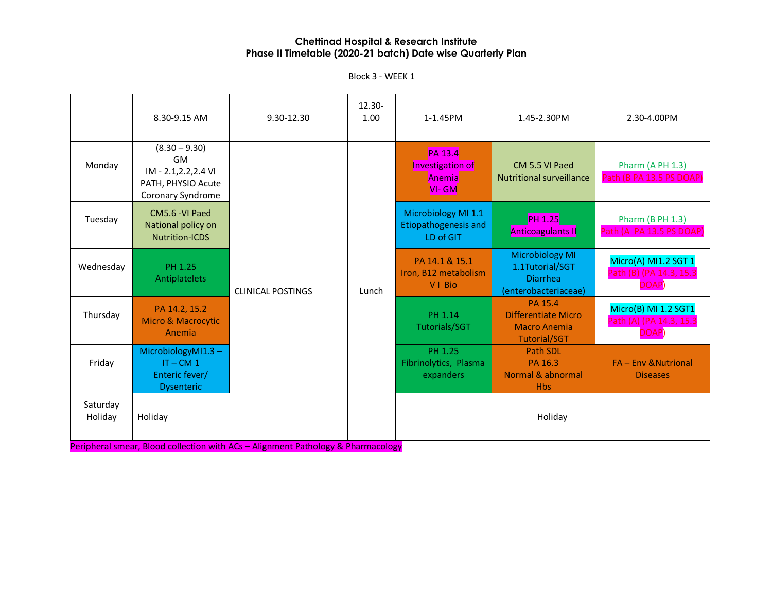Block 3 - WEEK 1

|                     | 8.30-9.15 AM                                                                              | 9.30-12.30               | $12.30 -$<br>1.00 | 1-1.45PM                                                         | 1.45-2.30PM                                                                          | 2.30-4.00PM                                              |                                                     |
|---------------------|-------------------------------------------------------------------------------------------|--------------------------|-------------------|------------------------------------------------------------------|--------------------------------------------------------------------------------------|----------------------------------------------------------|-----------------------------------------------------|
| Monday              | $(8.30 - 9.30)$<br>GM<br>IM - 2.1, 2.2, 2.4 VI<br>PATH, PHYSIO Acute<br>Coronary Syndrome | <b>CLINICAL POSTINGS</b> |                   | <b>PA 13.4</b><br><b>Investigation of</b><br>Anemia<br>$VI - GM$ | CM 5.5 VI Paed<br><b>Nutritional surveillance</b>                                    | Pharm (A PH 1.3)<br>Path (B PA 13.5 PS DOAP)             |                                                     |
| Tuesday             | CM5.6 -VI Paed<br>National policy on<br><b>Nutrition-ICDS</b>                             |                          |                   |                                                                  | Microbiology MI 1.1<br><b>Etiopathogenesis and</b><br>LD of GIT                      | <b>PH 1.25</b><br><b>Anticoagulants II</b>               | <b>Pharm (B PH 1.3)</b><br>Path (A PA 13.5 PS DOAP) |
| Wednesday           | PH 1.25<br>Antiplatelets                                                                  |                          | Lunch             | PA 14.1 & 15.1<br>Iron, B12 metabolism<br>VI Bio                 | <b>Microbiology MI</b><br>1.1Tutorial/SGT<br><b>Diarrhea</b><br>(enterobacteriaceae) | Micro(A) MI1.2 SGT 1<br>Path (B) (PA 14.3, 15.3<br>DOAP) |                                                     |
| Thursday            | PA 14.2, 15.2<br><b>Micro &amp; Macrocytic</b><br>Anemia                                  |                          |                   | PH 1.14<br><b>Tutorials/SGT</b>                                  | PA 15.4<br>Differentiate Micro<br><b>Macro Anemia</b><br><b>Tutorial/SGT</b>         | Micro(B) MI 1.2 SGT1<br>Path (A) (PA 14.3, 15.3<br>DOAP) |                                                     |
| Friday              | MicrobiologyMI1.3-<br>$IT - CM 1$<br>Enteric fever/<br><b>Dysenteric</b>                  |                          |                   | PH 1.25<br>Fibrinolytics, Plasma<br>expanders                    | Path SDI<br>PA 16.3<br>Normal & abnormal<br><b>Hbs</b>                               | <b>FA - Env &amp; Nutrional</b><br><b>Diseases</b>       |                                                     |
| Saturday<br>Holiday | Holiday                                                                                   |                          |                   |                                                                  | Holiday                                                                              |                                                          |                                                     |

Peripheral smear, Blood collection with ACs – Alignment Pathology & Pharmacology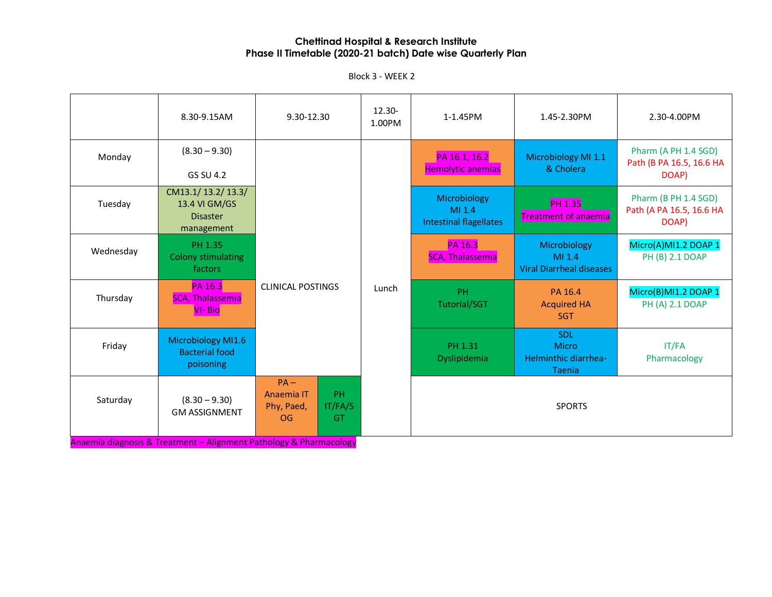Block 3 - WEEK 2

|           | 8.30-9.15AM                                                         | 9.30-12.30                                                                    | $12.30 -$<br>1.00PM | 1-1.45PM                                                | 1.45-2.30PM                                               | 2.30-4.00PM                                               |  |  |  |       |  |                           |                                             |                                         |
|-----------|---------------------------------------------------------------------|-------------------------------------------------------------------------------|---------------------|---------------------------------------------------------|-----------------------------------------------------------|-----------------------------------------------------------|--|--|--|-------|--|---------------------------|---------------------------------------------|-----------------------------------------|
| Monday    | $(8.30 - 9.30)$<br>GS SU 4.2                                        |                                                                               |                     | PA 16.1, 16.2<br><b>Hemolytic anemias</b>               | Microbiology MI 1.1<br>& Cholera                          | Pharm (A PH 1.4 SGD)<br>Path (B PA 16.5, 16.6 HA<br>DOAP) |  |  |  |       |  |                           |                                             |                                         |
| Tuesday   | CM13.1/13.2/13.3/<br>13.4 VI GM/GS<br><b>Disaster</b><br>management |                                                                               |                     | Microbiology<br>MI 1.4<br><b>Intestinal flagellates</b> | <b>PH 1.35</b><br><b>Treatment of anaemia</b>             | Pharm (B PH 1.4 SGD)<br>Path (A PA 16.5, 16.6 HA<br>DOAP) |  |  |  |       |  |                           |                                             |                                         |
| Wednesday | PH 1.35<br><b>Colony stimulating</b><br>factors                     |                                                                               |                     | PA 16.3<br><b>SCA, Thalassemia</b>                      | Microbiology<br>MI 1.4<br><b>Viral Diarrheal diseases</b> | Micro(A)MI1.2 DOAP 1<br>PH (B) 2.1 DOAP                   |  |  |  |       |  |                           |                                             |                                         |
| Thursday  | <b>PA 16.3</b><br><b>SCA, Thalassemia</b><br><b>VI-Bio</b>          |                                                                               |                     | <b>CLINICAL POSTINGS</b>                                |                                                           |                                                           |  |  |  | Lunch |  | PH<br><b>Tutorial/SGT</b> | PA 16.4<br><b>Acquired HA</b><br><b>SGT</b> | Micro(B)MI1.2 DOAP 1<br>PH (A) 2.1 DOAP |
| Friday    | Microbiology MI1.6<br><b>Bacterial food</b><br>poisoning            |                                                                               |                     | PH 1.31<br>Dyslipidemia                                 | <b>SDL</b><br>Micro<br>Helminthic diarrhea-<br>Taenia     | IT/FA<br>Pharmacology                                     |  |  |  |       |  |                           |                                             |                                         |
| Saturday  | $(8.30 - 9.30)$<br><b>GM ASSIGNMENT</b>                             | $PA -$<br>Anaemia IT<br><b>PH</b><br>IT/FA/S<br>Phy, Paed,<br>OG<br><b>GT</b> |                     |                                                         | <b>SPORTS</b>                                             |                                                           |  |  |  |       |  |                           |                                             |                                         |

Anaemia diagnosis & Treatment – Alignment Pathology & Pharmacology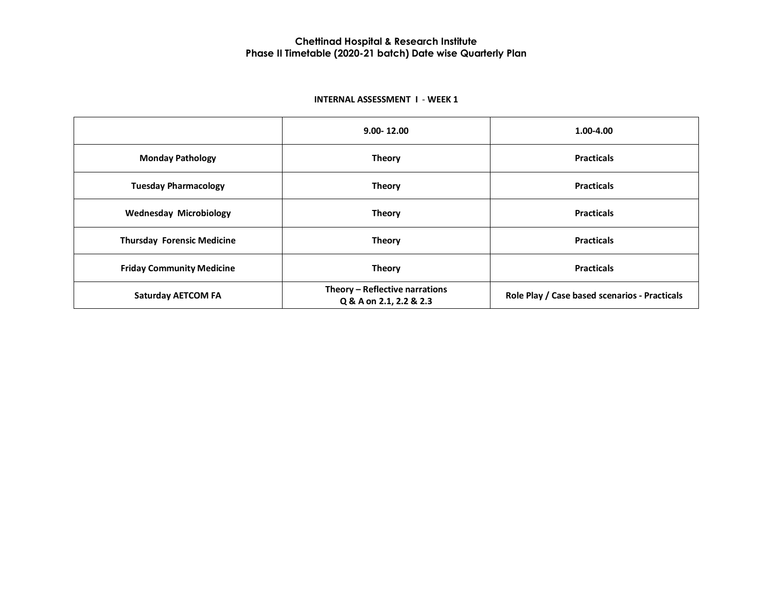#### **INTERNAL ASSESSMENT I** - **WEEK 1**

|                                   | $9.00 - 12.00$                                            | 1.00-4.00                                     |  |
|-----------------------------------|-----------------------------------------------------------|-----------------------------------------------|--|
| <b>Monday Pathology</b>           | <b>Theory</b>                                             | <b>Practicals</b>                             |  |
| <b>Tuesday Pharmacology</b>       | <b>Theory</b>                                             | <b>Practicals</b>                             |  |
| <b>Wednesday Microbiology</b>     | <b>Theory</b>                                             | <b>Practicals</b>                             |  |
| <b>Thursday Forensic Medicine</b> | <b>Theory</b>                                             | <b>Practicals</b>                             |  |
| <b>Friday Community Medicine</b>  | <b>Theory</b>                                             | <b>Practicals</b>                             |  |
| <b>Saturday AETCOM FA</b>         | Theory - Reflective narrations<br>Q & A on 2.1, 2.2 & 2.3 | Role Play / Case based scenarios - Practicals |  |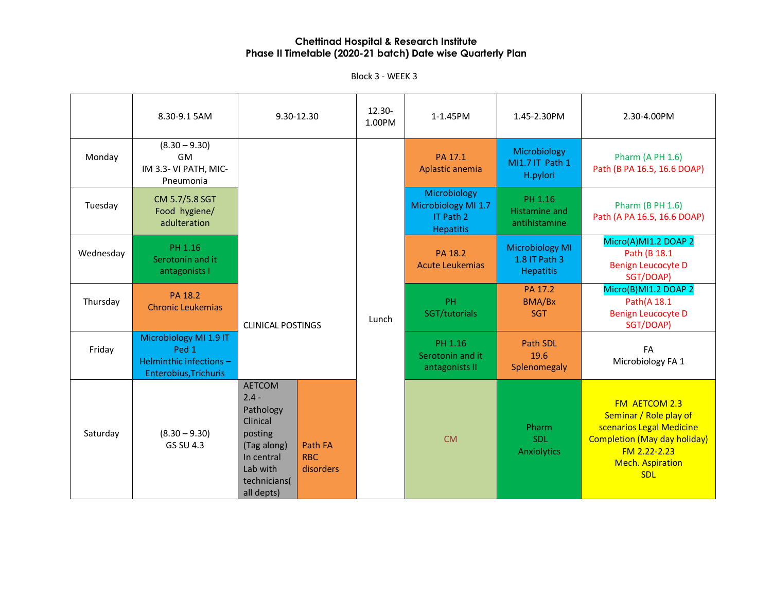|           | 8.30-9.1 5AM                                                                        | 9.30-12.30                                                                                                                                                          | 12.30-<br>1.00PM         | 1-1.45PM                                                             | 1.45-2.30PM                                                 | 2.30-4.00PM                                                                                                                                                         |                                 |                                                                               |
|-----------|-------------------------------------------------------------------------------------|---------------------------------------------------------------------------------------------------------------------------------------------------------------------|--------------------------|----------------------------------------------------------------------|-------------------------------------------------------------|---------------------------------------------------------------------------------------------------------------------------------------------------------------------|---------------------------------|-------------------------------------------------------------------------------|
| Monday    | $(8.30 - 9.30)$<br><b>GM</b><br>IM 3.3- VI PATH, MIC-<br>Pneumonia                  |                                                                                                                                                                     |                          | PA 17.1<br>Aplastic anemia                                           | Microbiology<br>MI1.7 IT Path 1<br>H.pylori                 | <b>Pharm (A PH 1.6)</b><br>Path (B PA 16.5, 16.6 DOAP)                                                                                                              |                                 |                                                                               |
| Tuesday   | CM 5.7/5.8 SGT<br>Food hygiene/<br>adulteration                                     |                                                                                                                                                                     |                          | Microbiology<br>Microbiology MI 1.7<br>IT Path 2<br><b>Hepatitis</b> | PH 1.16<br><b>Histamine and</b><br>antihistamine            | <b>Pharm (B PH 1.6)</b><br>Path (A PA 16.5, 16.6 DOAP)                                                                                                              |                                 |                                                                               |
| Wednesday | PH 1.16<br>Serotonin and it<br>antagonists I                                        |                                                                                                                                                                     |                          | PA 18.2<br><b>Acute Leukemias</b>                                    | <b>Microbiology MI</b><br>1.8 IT Path 3<br><b>Hepatitis</b> | Micro(A)MI1.2 DOAP 2<br>Path (B 18.1<br><b>Benign Leucocyte D</b><br>SGT/DOAP)                                                                                      |                                 |                                                                               |
| Thursday  | PA 18.2<br><b>Chronic Leukemias</b>                                                 |                                                                                                                                                                     | <b>CLINICAL POSTINGS</b> |                                                                      | Lunch                                                       | <b>PH</b><br>SGT/tutorials                                                                                                                                          | PA 17.2<br>BMA/Bx<br><b>SGT</b> | Micro(B)MI1.2 DOAP 2<br>Path(A 18.1<br><b>Benign Leucocyte D</b><br>SGT/DOAP) |
| Friday    | Microbiology MI 1.9 IT<br>Ped 1<br>Helminthic infections -<br>Enterobius, Trichuris |                                                                                                                                                                     |                          | PH 1.16<br>Serotonin and it<br>antagonists II                        | Path SDL<br>19.6<br>Splenomegaly                            | FA<br>Microbiology FA 1                                                                                                                                             |                                 |                                                                               |
| Saturday  | $(8.30 - 9.30)$<br>GS SU 4.3                                                        | <b>AETCOM</b><br>$2.4 -$<br>Pathology<br>Clinical<br>posting<br>Path FA<br>(Tag along)<br>RBC.<br>In central<br>Lab with<br>disorders<br>technicians(<br>all depts) |                          | <b>CM</b>                                                            | Pharm<br><b>SDL</b><br><b>Anxiolytics</b>                   | FM AETCOM 2.3<br>Seminar / Role play of<br>scenarios Legal Medicine<br><b>Completion (May day holiday)</b><br>FM 2.22-2.23<br><b>Mech. Aspiration</b><br><b>SDL</b> |                                 |                                                                               |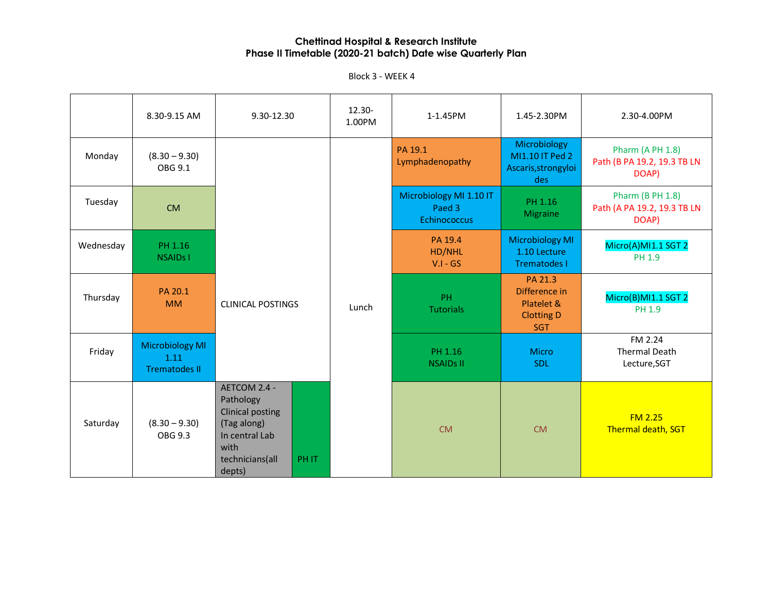|           | 8.30-9.15 AM                                           | 9.30-12.30                                                                                                                                | $12.30 -$<br>1.00PM | 1-1.45PM                                          | 1.45-2.30PM                                                               | 2.30-4.00PM                                                     |
|-----------|--------------------------------------------------------|-------------------------------------------------------------------------------------------------------------------------------------------|---------------------|---------------------------------------------------|---------------------------------------------------------------------------|-----------------------------------------------------------------|
| Monday    | $(8.30 - 9.30)$<br>OBG 9.1                             |                                                                                                                                           |                     | PA 19.1<br>Lymphadenopathy                        | Microbiology<br>MI1.10 IT Ped 2<br>Ascaris, strongyloi<br>des             | Pharm (A PH 1.8)<br>Path (B PA 19.2, 19.3 TB LN<br>DOAP)        |
| Tuesday   | <b>CM</b>                                              |                                                                                                                                           |                     | Microbiology MI 1.10 IT<br>Paed 3<br>Echinococcus | PH 1.16<br>Migraine                                                       | <b>Pharm (B PH 1.8)</b><br>Path (A PA 19.2, 19.3 TB LN<br>DOAP) |
| Wednesday | PH 1.16<br><b>NSAIDs1</b>                              |                                                                                                                                           |                     | PA 19.4<br>HD/NHL<br>$V.I - GS$                   | <b>Microbiology MI</b><br>1.10 Lecture<br>Trematodes I                    | Micro(A)MI1.1 SGT 2<br><b>PH 1.9</b>                            |
| Thursday  | PA 20.1<br><b>MM</b>                                   | <b>CLINICAL POSTINGS</b>                                                                                                                  | Lunch               | PH.<br><b>Tutorials</b>                           | PA 21.3<br>Difference in<br>Platelet &<br><b>Clotting D</b><br><b>SGT</b> | Micro(B)MI1.1 SGT 2<br>PH 1.9                                   |
| Friday    | <b>Microbiology MI</b><br>1.11<br><b>Trematodes II</b> |                                                                                                                                           |                     | PH 1.16<br><b>NSAIDS II</b>                       | <b>Micro</b><br><b>SDL</b>                                                | FM 2.24<br><b>Thermal Death</b><br>Lecture, SGT                 |
| Saturday  | $(8.30 - 9.30)$<br>OBG 9.3                             | AETCOM 2.4 -<br>Pathology<br><b>Clinical posting</b><br>(Tag along)<br>In central Lab<br>with<br>technicians(all<br><b>PHIT</b><br>depts) |                     | <b>CM</b>                                         | <b>CM</b>                                                                 | FM <sub>2.25</sub><br>Thermal death, SGT                        |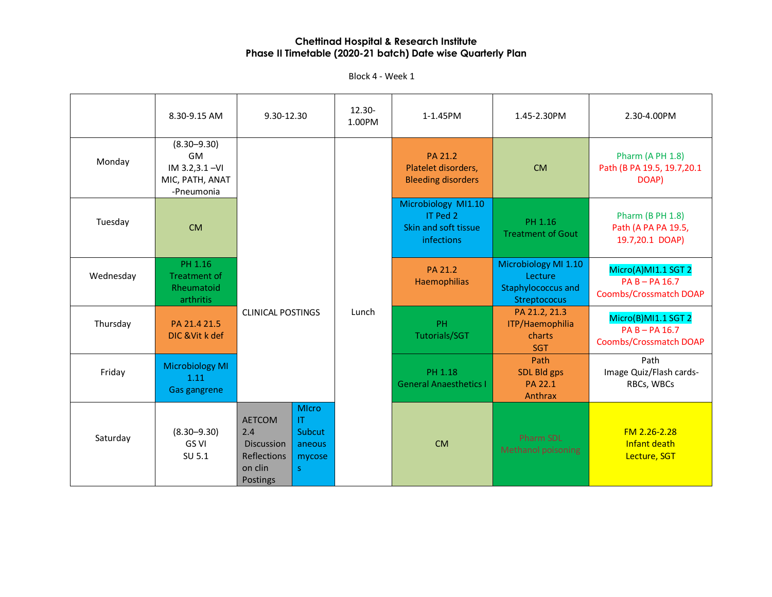Block 4 - Week 1

|           | 8.30-9.15 AM                                                            | 9.30-12.30                                                                                   |                                                   | 12.30-<br>1.00PM | 1-1.45PM                                                                     | 1.45-2.30PM                                                                  | 2.30-4.00PM                                                              |
|-----------|-------------------------------------------------------------------------|----------------------------------------------------------------------------------------------|---------------------------------------------------|------------------|------------------------------------------------------------------------------|------------------------------------------------------------------------------|--------------------------------------------------------------------------|
| Monday    | $(8.30 - 9.30)$<br>GM<br>IM 3.2,3.1-VI<br>MIC, PATH, ANAT<br>-Pneumonia |                                                                                              |                                                   |                  | PA 21.2<br>Platelet disorders,<br><b>Bleeding disorders</b>                  | <b>CM</b>                                                                    | Pharm (A PH 1.8)<br>Path (B PA 19.5, 19.7, 20.1<br>DOAP)                 |
| Tuesday   | <b>CM</b>                                                               |                                                                                              |                                                   |                  | Microbiology MI1.10<br>IT Ped 2<br>Skin and soft tissue<br><b>infections</b> | PH 1.16<br><b>Treatment of Gout</b>                                          | <b>Pharm (B PH 1.8)</b><br>Path (A PA PA 19.5,<br>19.7,20.1 DOAP)        |
| Wednesday | PH 1.16<br><b>Treatment of</b><br>Rheumatoid<br>arthritis               | <b>CLINICAL POSTINGS</b>                                                                     |                                                   | Lunch            | PA 21.2<br>Haemophilias                                                      | Microbiology MI 1.10<br>Lecture<br><b>Staphylococcus and</b><br>Streptococus | Micro(A)MI1.1 SGT 2<br>$PA B - PA 16.7$<br><b>Coombs/Crossmatch DOAP</b> |
| Thursday  | PA 21.4 21.5<br>DIC & Vit k def                                         |                                                                                              |                                                   |                  | PH<br>Tutorials/SGT                                                          | PA 21.2, 21.3<br>ITP/Haemophilia<br>charts<br><b>SGT</b>                     | Micro(B)MI1.1 SGT 2<br>$PAB - PA16.7$<br><b>Coombs/Crossmatch DOAP</b>   |
| Friday    | <b>Microbiology MI</b><br>1.11<br>Gas gangrene                          |                                                                                              |                                                   |                  | PH 1.18<br><b>General Anaesthetics I</b>                                     | Path<br>SDL Bld gps<br>PA 22.1<br>Anthrax                                    | Path<br>Image Quiz/Flash cards-<br>RBCs, WBCs                            |
| Saturday  | $(8.30 - 9.30)$<br><b>GS VI</b><br>SU 5.1                               | <b>AETCOM</b><br>2.4<br><b>Discussion</b><br><b>Reflections</b><br>on clin<br>S.<br>Postings | <b>MIcro</b><br>IT.<br>Subcut<br>aneous<br>mycose |                  | <b>CM</b>                                                                    | Pharm SDL<br><b>Methanol poisoning</b>                                       | FM 2.26-2.28<br>Infant death<br>Lecture, SGT                             |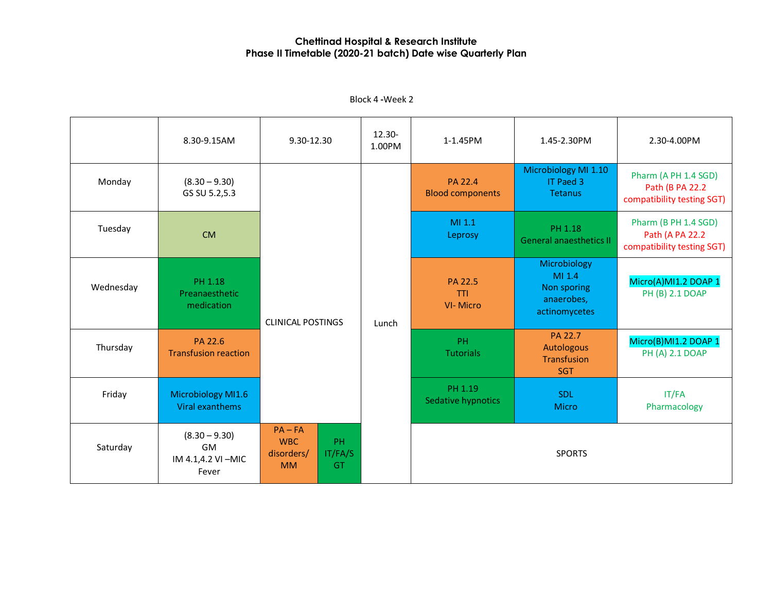|           | 8.30-9.15AM                                         | 9.30-12.30                                                                       | 12.30-<br>1.00PM | 1-1.45PM                           | 1.45-2.30PM                                                          | 2.30-4.00PM                                                            |                                                                       |
|-----------|-----------------------------------------------------|----------------------------------------------------------------------------------|------------------|------------------------------------|----------------------------------------------------------------------|------------------------------------------------------------------------|-----------------------------------------------------------------------|
| Monday    | $(8.30 - 9.30)$<br>GS SU 5.2,5.3                    | <b>CLINICAL POSTINGS</b>                                                         |                  | PA 22.4<br><b>Blood components</b> | Microbiology MI 1.10<br>IT Paed 3<br><b>Tetanus</b>                  | Pharm (A PH 1.4 SGD)<br>Path (B PA 22.2)<br>compatibility testing SGT) |                                                                       |
| Tuesday   | <b>CM</b>                                           |                                                                                  |                  |                                    | MI 1.1<br>Leprosy                                                    | PH 1.18<br><b>General anaesthetics II</b>                              | Pharm (B PH 1.4 SGD)<br>Path (A PA 22.2<br>compatibility testing SGT) |
| Wednesday | PH 1.18<br>Preanaesthetic<br>medication             |                                                                                  | Lunch            | PA 22.5<br>TTI<br><b>VI-Micro</b>  | Microbiology<br>MI 1.4<br>Non sporing<br>anaerobes,<br>actinomycetes | Micro(A)MI1.2 DOAP 1<br>PH (B) 2.1 DOAP                                |                                                                       |
| Thursday  | PA 22.6<br><b>Transfusion reaction</b>              |                                                                                  |                  | PH<br><b>Tutorials</b>             | PA 22.7<br>Autologous<br>Transfusion<br><b>SGT</b>                   | Micro(B)MI1.2 DOAP 1<br><b>PH (A) 2.1 DOAP</b>                         |                                                                       |
| Friday    | <b>Microbiology MI1.6</b><br>Viral exanthems        |                                                                                  |                  | PH 1.19<br>Sedative hypnotics      | <b>SDL</b><br><b>Micro</b>                                           | IT/FA<br>Pharmacology                                                  |                                                                       |
| Saturday  | $(8.30 - 9.30)$<br>GM<br>IM 4.1,4.2 VI-MIC<br>Fever | $PA - FA$<br>PH<br><b>WBC</b><br>IT/FA/S<br>disorders/<br><b>MM</b><br><b>GT</b> |                  |                                    | <b>SPORTS</b>                                                        |                                                                        |                                                                       |

Block 4 **-**Week 2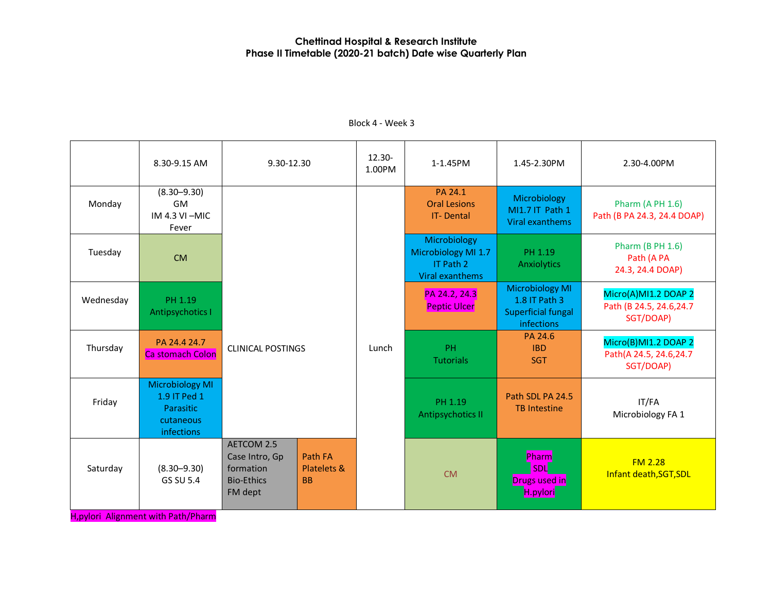|           | 8.30-9.15 AM                                                                   | 9.30-12.30                                                                |                                                | $12.30 -$<br>1.00PM | 1-1.45PM                                                            | 1.45-2.30PM                                                                        | 2.30-4.00PM                                                   |
|-----------|--------------------------------------------------------------------------------|---------------------------------------------------------------------------|------------------------------------------------|---------------------|---------------------------------------------------------------------|------------------------------------------------------------------------------------|---------------------------------------------------------------|
| Monday    | $(8.30 - 9.30)$<br><b>GM</b><br>$IM 4.3 VI - MIC$<br>Fever                     |                                                                           |                                                |                     | PA 24.1<br><b>Oral Lesions</b><br><b>IT-Dental</b>                  | Microbiology<br>MI1.7 IT Path 1<br>Viral exanthems                                 | <b>Pharm (A PH 1.6)</b><br>Path (B PA 24.3, 24.4 DOAP)        |
| Tuesday   | <b>CM</b>                                                                      |                                                                           |                                                |                     | Microbiology<br>Microbiology MI 1.7<br>IT Path 2<br>Viral exanthems | PH 1.19<br>Anxiolytics                                                             | <b>Pharm (B PH 1.6)</b><br>Path (A PA<br>24.3, 24.4 DOAP)     |
| Wednesday | PH 1.19<br>Antipsychotics I                                                    |                                                                           |                                                |                     | PA 24.2, 24.3<br><b>Peptic Ulcer</b>                                | <b>Microbiology MI</b><br>1.8 IT Path 3<br><b>Superficial fungal</b><br>infections | Micro(A)MI1.2 DOAP 2<br>Path (B 24.5, 24.6, 24.7<br>SGT/DOAP) |
| Thursday  | PA 24.4 24.7<br><b>Ca stomach Colon</b>                                        | <b>CLINICAL POSTINGS</b>                                                  |                                                | Lunch               | <b>PH</b><br><b>Tutorials</b>                                       | PA 24.6<br><b>IBD</b><br><b>SGT</b>                                                | Micro(B)MI1.2 DOAP 2<br>Path(A 24.5, 24.6, 24.7<br>SGT/DOAP)  |
| Friday    | <b>Microbiology MI</b><br>1.9 IT Ped 1<br>Parasitic<br>cutaneous<br>infections |                                                                           |                                                |                     | PH 1.19<br>Antipsychotics II                                        | Path SDL PA 24.5<br><b>TB</b> Intestine                                            | IT/FA<br>Microbiology FA 1                                    |
| Saturday  | $(8.30 - 9.30)$<br><b>GS SU 5.4</b>                                            | AETCOM 2.5<br>Case Intro, Gp<br>formation<br><b>Bio-Ethics</b><br>FM dept | Path FA<br><b>Platelets &amp;</b><br><b>BB</b> |                     | <b>CM</b>                                                           | Pharm<br><b>SDL</b><br><b>Drugs used in</b><br>H.pylori                            | FM <sub>2.28</sub><br>Infant death, SGT, SDL                  |

# Block 4 - Week 3

H,pylori Alignment with Path/Pharm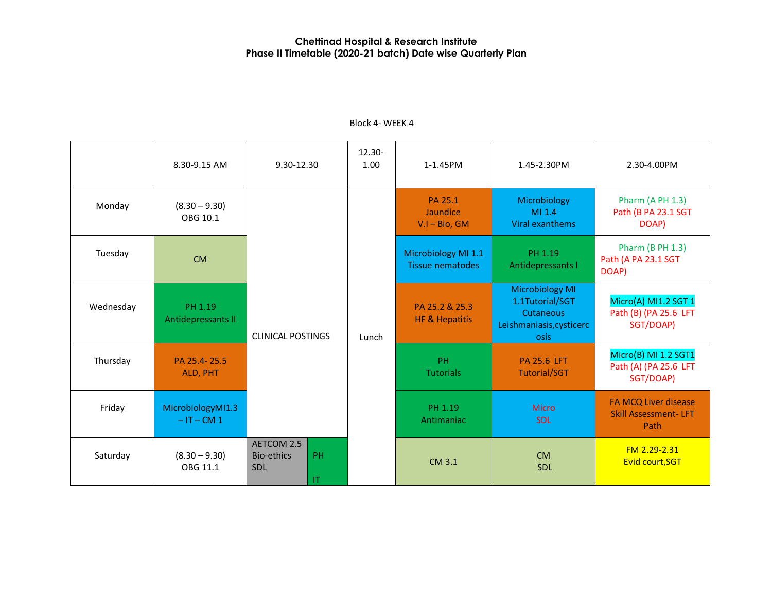|           | 8.30-9.15 AM                      | 9.30-12.30                                                       | $12.30 -$<br>1.00 | 1-1.45PM                                       | 1.45-2.30PM                                                                                | 2.30-4.00PM                                                        |
|-----------|-----------------------------------|------------------------------------------------------------------|-------------------|------------------------------------------------|--------------------------------------------------------------------------------------------|--------------------------------------------------------------------|
| Monday    | $(8.30 - 9.30)$<br>OBG 10.1       |                                                                  | Lunch             | PA 25.1<br>Jaundice<br>$V.I - Bio, GM$         | Microbiology<br>M1.4<br>Viral exanthems                                                    | Pharm (A PH 1.3)<br>Path (B PA 23.1 SGT<br>DOAP)                   |
| Tuesday   | <b>CM</b>                         |                                                                  |                   | Microbiology MI 1.1<br><b>Tissue nematodes</b> | PH 1.19<br>Antidepressants I                                                               | <b>Pharm (B PH 1.3)</b><br>Path (A PA 23.1 SGT<br>DOAP)            |
| Wednesday | PH 1.19<br>Antidepressants II     | <b>CLINICAL POSTINGS</b>                                         |                   | PA 25.2 & 25.3<br><b>HF &amp; Hepatitis</b>    | <b>Microbiology MI</b><br>1.1Tutorial/SGT<br>Cutaneous<br>Leishmaniasis, cysticerc<br>osis | Micro(A) MI1.2 SGT 1<br>Path (B) (PA 25.6 LFT<br>SGT/DOAP)         |
| Thursday  | PA 25.4-25.5<br>ALD, PHT          |                                                                  |                   | PH<br><b>Tutorials</b>                         | <b>PA 25.6 LFT</b><br><b>Tutorial/SGT</b>                                                  | Micro(B) MI 1.2 SGT1<br>Path (A) (PA 25.6 LFT<br>SGT/DOAP)         |
| Friday    | MicrobiologyMI1.3<br>$-IT - CM 1$ |                                                                  |                   | PH 1.19<br>Antimaniac                          | <b>Micro</b><br><b>SDL</b>                                                                 | <b>FA MCQ Liver disease</b><br><b>Skill Assessment-LFT</b><br>Path |
| Saturday  | $(8.30 - 9.30)$<br>OBG 11.1       | AETCOM 2.5<br><b>PH</b><br><b>Bio-ethics</b><br><b>SDL</b><br>IT |                   | CM 3.1                                         | <b>CM</b><br><b>SDL</b>                                                                    | FM 2.29-2.31<br>Evid court, SGT                                    |

# Block 4- WEEK 4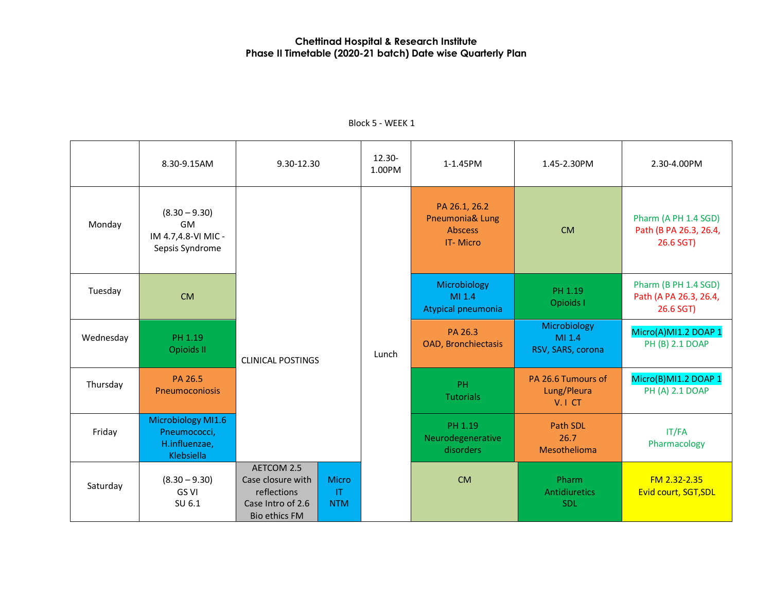|           | 8.30-9.15AM                                                       | 9.30-12.30                                                                                  |                                     | 12.30-<br>1.00PM                      | 1-1.45PM                                                              | 1.45-2.30PM                                 | 2.30-4.00PM                                                 |
|-----------|-------------------------------------------------------------------|---------------------------------------------------------------------------------------------|-------------------------------------|---------------------------------------|-----------------------------------------------------------------------|---------------------------------------------|-------------------------------------------------------------|
| Monday    | $(8.30 - 9.30)$<br>GM<br>IM 4.7,4.8-VI MIC -<br>Sepsis Syndrome   |                                                                                             |                                     |                                       | PA 26.1, 26.2<br>Pneumonia& Lung<br><b>Abscess</b><br><b>IT-Micro</b> | <b>CM</b>                                   | Pharm (A PH 1.4 SGD)<br>Path (B PA 26.3, 26.4,<br>26.6 SGT) |
| Tuesday   | <b>CM</b>                                                         |                                                                                             |                                     |                                       | Microbiology<br>MI 1.4<br>Atypical pneumonia                          | PH 1.19<br>Opioids I                        | Pharm (B PH 1.4 SGD)<br>Path (A PA 26.3, 26.4,<br>26.6 SGT) |
| Wednesday | PH 1.19<br>Opioids II                                             | <b>CLINICAL POSTINGS</b>                                                                    | Lunch                               | PA 26.3<br><b>OAD, Bronchiectasis</b> | Microbiology<br>MI 1.4<br>RSV, SARS, corona                           | Micro(A)MI1.2 DOAP 1<br>PH (B) 2.1 DOAP     |                                                             |
| Thursday  | PA 26.5<br>Pneumoconiosis                                         |                                                                                             |                                     |                                       | PH<br><b>Tutorials</b>                                                | PA 26.6 Tumours of<br>Lung/Pleura<br>V.I CT | Micro(B)MI1.2 DOAP 1<br>PH (A) 2.1 DOAP                     |
| Friday    | Microbiology MI1.6<br>Pneumococci,<br>H.influenzae,<br>Klebsiella |                                                                                             |                                     |                                       | PH 1.19<br>Neurodegenerative<br>disorders                             | Path SDL<br>26.7<br>Mesothelioma            | IT/FA<br>Pharmacology                                       |
| Saturday  | $(8.30 - 9.30)$<br>GS VI<br>SU 6.1                                | AETCOM 2.5<br>Case closure with<br>reflections<br>Case Intro of 2.6<br><b>Bio ethics FM</b> | Micro<br>$\mathsf{I}$<br><b>NTM</b> |                                       | <b>CM</b>                                                             | Pharm<br><b>Antidiuretics</b><br><b>SDL</b> | FM 2.32-2.35<br>Evid court, SGT, SDL                        |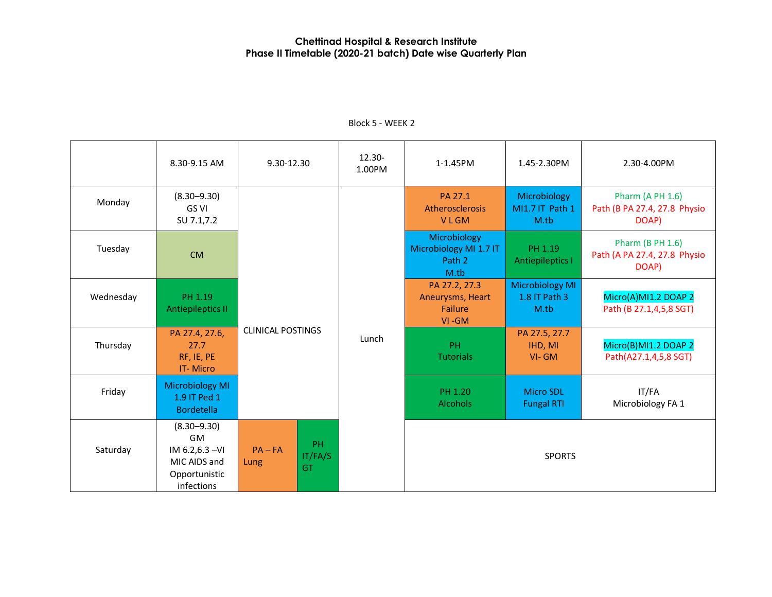|           | 8.30-9.15 AM                                                                            | 9.30-12.30               |                     | $12.30 -$<br>1.00PM | 1-1.45PM                                                 | 1.45-2.30PM                                     | 2.30-4.00PM                                                      |
|-----------|-----------------------------------------------------------------------------------------|--------------------------|---------------------|---------------------|----------------------------------------------------------|-------------------------------------------------|------------------------------------------------------------------|
| Monday    | $(8.30 - 9.30)$<br>GS VI<br>SU 7.1,7.2                                                  |                          |                     |                     | PA 27.1<br>Atherosclerosis<br><b>VLGM</b>                | Microbiology<br>MI1.7 IT Path 1<br>M.tb         | <b>Pharm (A PH 1.6)</b><br>Path (B PA 27.4, 27.8 Physio<br>DOAP) |
| Tuesday   | <b>CM</b>                                                                               |                          |                     |                     | Microbiology<br>Microbiology MI 1.7 IT<br>Path 2<br>M.tb | PH 1.19<br><b>Antiepileptics I</b>              | Pharm (B PH 1.6)<br>Path (A PA 27.4, 27.8 Physio<br>DOAP)        |
| Wednesday | PH 1.19<br><b>Antiepileptics II</b>                                                     | <b>CLINICAL POSTINGS</b> |                     |                     | PA 27.2, 27.3<br>Aneurysms, Heart<br>Failure<br>VI-GM    | <b>Microbiology MI</b><br>1.8 IT Path 3<br>M.tb | Micro(A)MI1.2 DOAP 2<br>Path (B 27.1,4,5,8 SGT)                  |
| Thursday  | PA 27.4, 27.6,<br>27.7<br>RF, IE, PE<br><b>IT-Micro</b>                                 |                          |                     | Lunch               | PH.<br><b>Tutorials</b>                                  | PA 27.5, 27.7<br>IHD, MI<br>$VI - GM$           | Micro(B)MI1.2 DOAP 2<br>Path(A27.1,4,5,8 SGT)                    |
| Friday    | <b>Microbiology MI</b><br>1.9 IT Ped 1<br><b>Bordetella</b>                             |                          |                     |                     | PH 1.20<br><b>Alcohols</b>                               | <b>Micro SDL</b><br><b>Fungal RTI</b>           | IT/FA<br>Microbiology FA 1                                       |
| Saturday  | $(8.30 - 9.30)$<br>GM<br>IM 6.2,6.3 - VI<br>MIC AIDS and<br>Opportunistic<br>infections | $PA - FA$<br>Lung        | PH<br>IT/FA/S<br>GT |                     |                                                          | <b>SPORTS</b>                                   |                                                                  |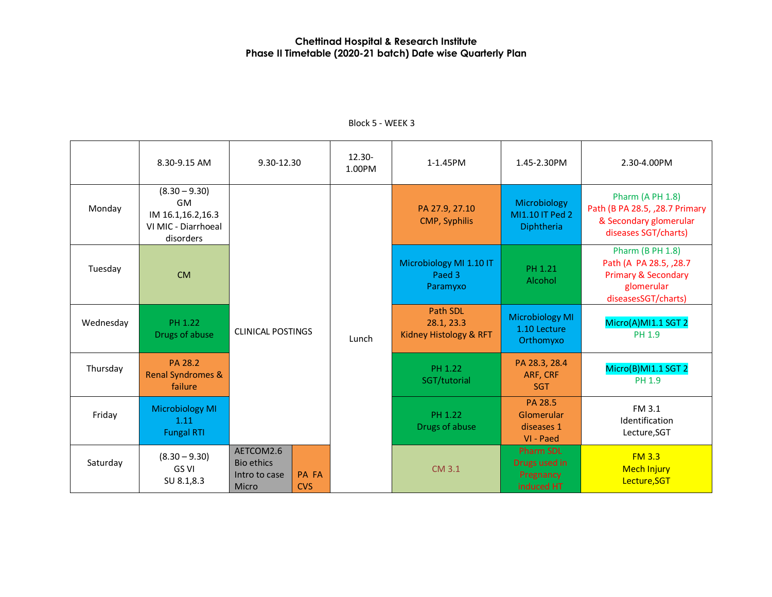|           | 8.30-9.15 AM                                                                          | 9.30-12.30                                               |                            | 12.30-<br>1.00PM | 1-1.45PM                                                | 1.45-2.30PM                                                  | 2.30-4.00PM                                                                                                               |
|-----------|---------------------------------------------------------------------------------------|----------------------------------------------------------|----------------------------|------------------|---------------------------------------------------------|--------------------------------------------------------------|---------------------------------------------------------------------------------------------------------------------------|
| Monday    | $(8.30 - 9.30)$<br><b>GM</b><br>IM 16.1,16.2,16.3<br>VI MIC - Diarrhoeal<br>disorders |                                                          |                            |                  | PA 27.9, 27.10<br>CMP, Syphilis                         | Microbiology<br>MI1.10 IT Ped 2<br>Diphtheria                | Pharm (A PH 1.8)<br>Path (B PA 28.5, , 28.7 Primary<br>& Secondary glomerular<br>diseases SGT/charts)                     |
| Tuesday   | <b>CM</b>                                                                             |                                                          |                            |                  | Microbiology MI 1.10 IT<br>Paed 3<br>Paramyxo           | PH 1.21<br>Alcohol                                           | <b>Pharm (B PH 1.8)</b><br>Path (A PA 28.5, , 28.7<br><b>Primary &amp; Secondary</b><br>glomerular<br>diseasesSGT/charts) |
| Wednesday | PH 1.22<br>Drugs of abuse                                                             | <b>CLINICAL POSTINGS</b>                                 |                            | Lunch            | <b>Path SDL</b><br>28.1, 23.3<br>Kidney Histology & RFT | <b>Microbiology MI</b><br>1.10 Lecture<br>Orthomyxo          | Micro(A)MI1.1 SGT 2<br>PH 1.9                                                                                             |
| Thursday  | PA 28.2<br><b>Renal Syndromes &amp;</b><br>failure                                    |                                                          |                            |                  | PH 1.22<br>SGT/tutorial                                 | PA 28.3, 28.4<br>ARF, CRF<br><b>SGT</b>                      | Micro(B)MI1.1 SGT 2<br>PH 1.9                                                                                             |
| Friday    | <b>Microbiology MI</b><br>1.11<br><b>Fungal RTI</b>                                   |                                                          |                            |                  | PH 1.22<br>Drugs of abuse                               | PA 28.5<br>Glomerular<br>diseases 1<br>VI - Paed             | FM 3.1<br>Identification<br>Lecture, SGT                                                                                  |
| Saturday  | $(8.30 - 9.30)$<br>GS VI<br>SU 8.1,8.3                                                | AETCOM2.6<br><b>Bio ethics</b><br>Intro to case<br>Micro | <b>PA FA</b><br><b>CVS</b> |                  | CM 3.1                                                  | <b>Pharm SDL</b><br>Drugs used in<br>Pregnancy<br>induced HT | <b>FM 3.3</b><br><b>Mech Injury</b><br>Lecture, SGT                                                                       |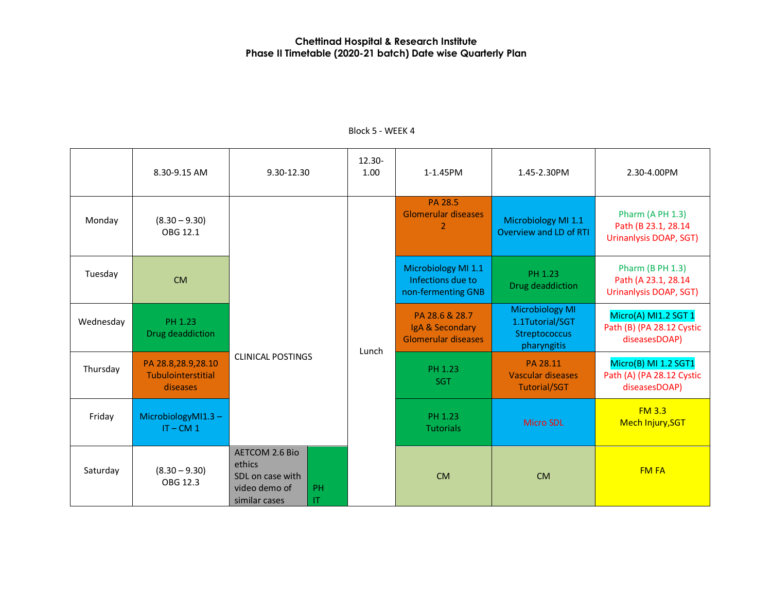|           | 8.30-9.15 AM                                         | 9.30-12.30                                                                                          | 12.30-<br>1.00 | 1-1.45PM                                                       | 1.45-2.30PM                                                               | 2.30-4.00PM                                                              |
|-----------|------------------------------------------------------|-----------------------------------------------------------------------------------------------------|----------------|----------------------------------------------------------------|---------------------------------------------------------------------------|--------------------------------------------------------------------------|
| Monday    | $(8.30 - 9.30)$<br>OBG 12.1                          |                                                                                                     |                | PA 28.5<br><b>Glomerular diseases</b><br>2                     | Microbiology MI 1.1<br>Overview and LD of RTI                             | <b>Pharm (A PH 1.3)</b><br>Path (B 23.1, 28.14<br>Urinanlysis DOAP, SGT) |
| Tuesday   | <b>CM</b>                                            |                                                                                                     |                | Microbiology MI 1.1<br>Infections due to<br>non-fermenting GNB | PH 1.23<br>Drug deaddiction                                               | <b>Pharm (B PH 1.3)</b><br>Path (A 23.1, 28.14<br>Urinanlysis DOAP, SGT) |
| Wednesday | PH 1.23<br>Drug deaddiction                          |                                                                                                     | Lunch          | PA 28.6 & 28.7<br>IgA & Secondary<br>Glomerular diseases       | <b>Microbiology MI</b><br>1.1Tutorial/SGT<br>Streptococcus<br>pharyngitis | Micro(A) MI1.2 SGT 1<br>Path (B) (PA 28.12 Cystic<br>diseasesDOAP)       |
| Thursday  | PA 28.8,28.9,28.10<br>Tubulointerstitial<br>diseases | <b>CLINICAL POSTINGS</b>                                                                            |                | PH 1.23<br><b>SGT</b>                                          | PA 28.11<br>Vascular diseases<br><b>Tutorial/SGT</b>                      | Micro(B) MI 1.2 SGT1<br>Path (A) (PA 28.12 Cystic<br>diseasesDOAP)       |
| Friday    | MicrobiologyMI1.3-<br>$IT - CM 1$                    |                                                                                                     |                | PH 1.23<br><b>Tutorials</b>                                    | <b>Micro SDL</b>                                                          | FM3.3<br>Mech Injury, SGT                                                |
| Saturday  | $(8.30 - 9.30)$<br>OBG 12.3                          | <b>AETCOM 2.6 Bio</b><br>ethics<br>SDL on case with<br>video demo of<br>PH.<br>similar cases<br>IT. |                | <b>CM</b>                                                      | <b>CM</b>                                                                 | <b>FM FA</b>                                                             |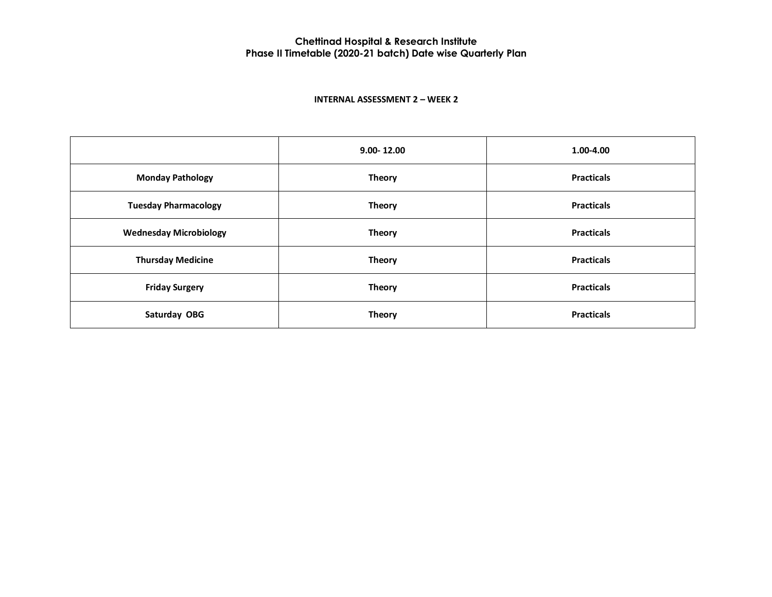#### **INTERNAL ASSESSMENT 2 – WEEK 2**

|                               | $9.00 - 12.00$ | 1.00-4.00         |
|-------------------------------|----------------|-------------------|
| <b>Monday Pathology</b>       | <b>Theory</b>  | <b>Practicals</b> |
| <b>Tuesday Pharmacology</b>   | <b>Theory</b>  | <b>Practicals</b> |
| <b>Wednesday Microbiology</b> | <b>Theory</b>  | <b>Practicals</b> |
| <b>Thursday Medicine</b>      | <b>Theory</b>  | <b>Practicals</b> |
| <b>Friday Surgery</b>         | <b>Theory</b>  | <b>Practicals</b> |
| Saturday OBG                  | <b>Theory</b>  | <b>Practicals</b> |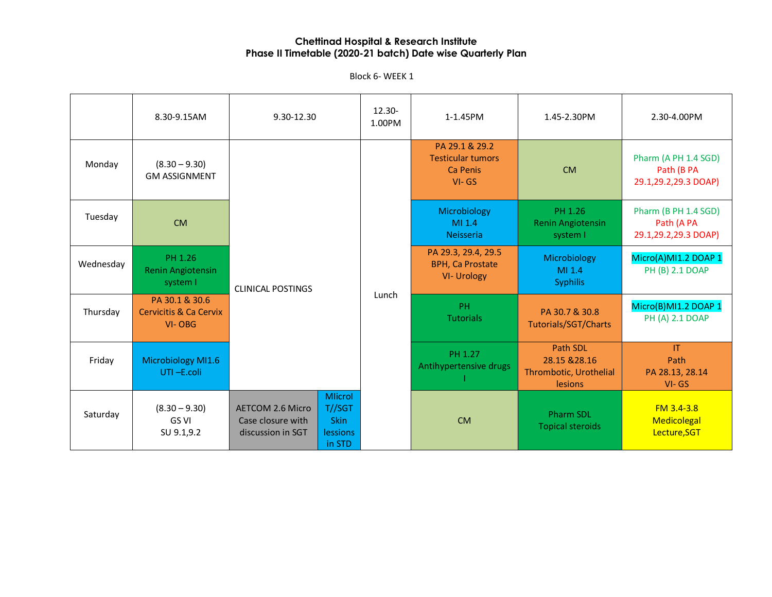Block 6- WEEK 1

|           | 8.30-9.15AM                                                   | 9.30-12.30                                                                                                                                | $12.30 -$<br>1.00PM | 1-1.45PM                                                             | 1.45-2.30PM                                                           | 2.30-4.00PM                                                |
|-----------|---------------------------------------------------------------|-------------------------------------------------------------------------------------------------------------------------------------------|---------------------|----------------------------------------------------------------------|-----------------------------------------------------------------------|------------------------------------------------------------|
| Monday    | $(8.30 - 9.30)$<br><b>GM ASSIGNMENT</b>                       |                                                                                                                                           |                     | PA 29.1 & 29.2<br><b>Testicular tumors</b><br>Ca Penis<br>$VI - GS$  | <b>CM</b>                                                             | Pharm (A PH 1.4 SGD)<br>Path (B PA<br>29.1,29.2,29.3 DOAP) |
| Tuesday   | <b>CM</b>                                                     |                                                                                                                                           |                     | Microbiology<br>MI 1.4<br><b>Neisseria</b>                           | PH 1.26<br><b>Renin Angiotensin</b><br>system I                       | Pharm (B PH 1.4 SGD)<br>Path (A PA<br>29.1,29.2,29.3 DOAP) |
| Wednesday | PH 1.26<br><b>Renin Angiotensin</b><br>system I               | <b>CLINICAL POSTINGS</b><br>Lunch                                                                                                         |                     | PA 29.3, 29.4, 29.5<br><b>BPH, Ca Prostate</b><br><b>VI- Urology</b> | Microbiology<br>MI 1.4<br><b>Syphilis</b>                             | Micro(A)MI1.2 DOAP 1<br>PH (B) 2.1 DOAP                    |
| Thursday  | PA 30.1 & 30.6<br><b>Cervicitis &amp; Ca Cervix</b><br>VI-OBG |                                                                                                                                           |                     | PH.<br><b>Tutorials</b>                                              | PA 30.7 & 30.8<br>Tutorials/SGT/Charts                                | Micro(B)MI1.2 DOAP 1<br>PH (A) 2.1 DOAP                    |
| Friday    | Microbiology MI1.6<br>UTI-E.coli                              |                                                                                                                                           |                     | PH 1.27<br>Antihypertensive drugs                                    | <b>Path SDL</b><br>28.15 & 28.16<br>Thrombotic, Urothelial<br>lesions | <b>IT</b><br>Path<br>PA 28.13, 28.14<br>$VI - GS$          |
| Saturday  | $(8.30 - 9.30)$<br>GS VI<br>SU 9.1,9.2                        | <b>Mlicrol</b><br>T//SGT<br><b>AETCOM 2.6 Micro</b><br><b>Skin</b><br>Case closure with<br>discussion in SGT<br><b>lessions</b><br>in STD |                     | <b>CM</b>                                                            | <b>Pharm SDL</b><br><b>Topical steroids</b>                           | $FM$ 3.4-3.8<br>Medicolegal<br>Lecture, SGT                |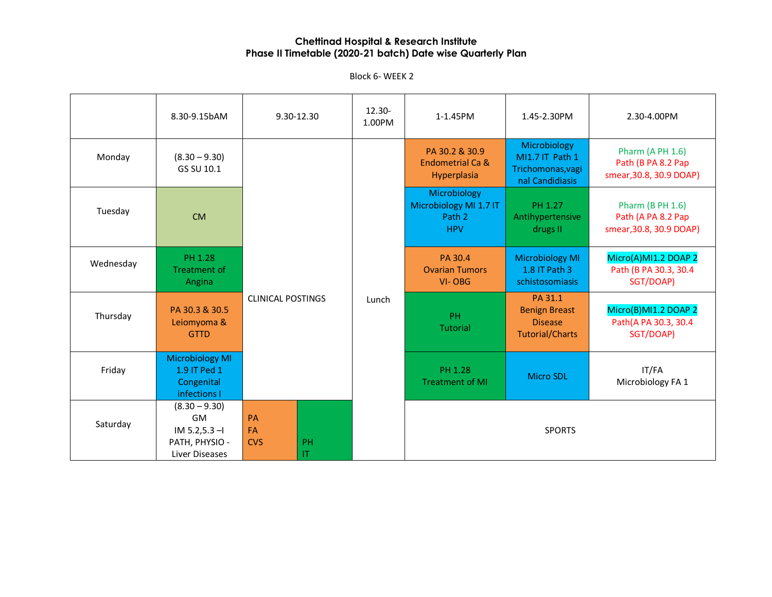Block 6- WEEK 2

|           | 8.30-9.15bAM                                                                   |                                                                                                  | 9.30-12.30 | 12.30-<br>1.00PM | 1-1.45PM                                                       | 1.45-2.30PM                                                                 | 2.30-4.00PM                                                              |
|-----------|--------------------------------------------------------------------------------|--------------------------------------------------------------------------------------------------|------------|------------------|----------------------------------------------------------------|-----------------------------------------------------------------------------|--------------------------------------------------------------------------|
| Monday    | $(8.30 - 9.30)$<br>GS SU 10.1                                                  |                                                                                                  |            |                  | PA 30.2 & 30.9<br>Endometrial Ca &<br>Hyperplasia              | Microbiology<br>MI1.7 IT Path 1<br>Trichomonas, vagi<br>nal Candidiasis     | <b>Pharm (A PH 1.6)</b><br>Path (B PA 8.2 Pap<br>smear, 30.8, 30.9 DOAP) |
| Tuesday   | <b>CM</b>                                                                      |                                                                                                  |            |                  | Microbiology<br>Microbiology MI 1.7 IT<br>Path 2<br><b>HPV</b> | PH 1.27<br>Antihypertensive<br>drugs II                                     | <b>Pharm (B PH 1.6)</b><br>Path (A PA 8.2 Pap<br>smear, 30.8, 30.9 DOAP) |
| Wednesday | PH 1.28<br><b>Treatment of</b><br>Angina                                       | <b>CLINICAL POSTINGS</b><br><b>PA</b><br>FA<br><b>CVS</b><br><b>PH</b><br>$\mathsf{I}\mathsf{T}$ |            |                  | PA 30.4<br><b>Ovarian Tumors</b><br>VI-OBG                     | <b>Microbiology MI</b><br>1.8 IT Path 3<br>schistosomiasis                  | Micro(A)MI1.2 DOAP 2<br>Path (B PA 30.3, 30.4<br>SGT/DOAP)               |
| Thursday  | PA 30.3 & 30.5<br>Leiomyoma &<br><b>GTTD</b>                                   |                                                                                                  |            | Lunch            | <b>PH</b><br>Tutorial                                          | PA 31.1<br><b>Benign Breast</b><br><b>Disease</b><br><b>Tutorial/Charts</b> | Micro(B)MI1.2 DOAP 2<br>Path(A PA 30.3, 30.4<br>SGT/DOAP)                |
| Friday    | <b>Microbiology MI</b><br>1.9 IT Ped 1<br>Congenital<br>infections I           |                                                                                                  |            |                  | PH 1.28<br><b>Treatment of MI</b>                              | <b>Micro SDL</b>                                                            | IT/FA<br>Microbiology FA 1                                               |
| Saturday  | $(8.30 - 9.30)$<br>GM<br>$IM 5.2, 5.3 - I$<br>PATH, PHYSIO -<br>Liver Diseases |                                                                                                  |            |                  |                                                                | <b>SPORTS</b>                                                               |                                                                          |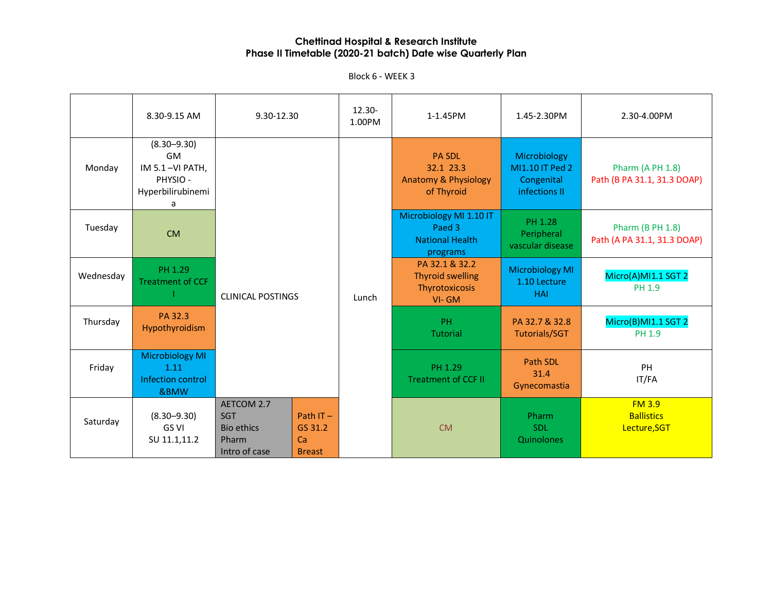|           | 8.30-9.15 AM                                                                   | 9.30-12.30                                                              |                                               | $12.30 -$<br>1.00PM | 1-1.45PM                                                                    | 1.45-2.30PM                                                    | 2.30-4.00PM                                            |
|-----------|--------------------------------------------------------------------------------|-------------------------------------------------------------------------|-----------------------------------------------|---------------------|-----------------------------------------------------------------------------|----------------------------------------------------------------|--------------------------------------------------------|
| Monday    | $(8.30 - 9.30)$<br>GM<br>IM 5.1-VI PATH,<br>PHYSIO -<br>Hyperbilirubinemi<br>a |                                                                         |                                               |                     | <b>PA SDL</b><br>32.1 23.3<br><b>Anatomy &amp; Physiology</b><br>of Thyroid | Microbiology<br>MI1.10 IT Ped 2<br>Congenital<br>infections II | Pharm (A PH 1.8)<br>Path (B PA 31.1, 31.3 DOAP)        |
| Tuesday   | <b>CM</b>                                                                      |                                                                         |                                               |                     | Microbiology MI 1.10 IT<br>Paed 3<br><b>National Health</b><br>programs     | PH 1.28<br>Peripheral<br>vascular disease                      | <b>Pharm (B PH 1.8)</b><br>Path (A PA 31.1, 31.3 DOAP) |
| Wednesday | PH 1.29<br><b>Treatment of CCF</b>                                             | <b>CLINICAL POSTINGS</b>                                                |                                               | Lunch               | PA 32.1 & 32.2<br><b>Thyroid swelling</b><br>Thyrotoxicosis<br>VI-GM        | <b>Microbiology MI</b><br>1.10 Lecture<br><b>HAI</b>           | Micro(A)MI1.1 SGT 2<br>PH 1.9                          |
| Thursday  | PA 32.3<br>Hypothyroidism                                                      |                                                                         |                                               |                     | PH.<br><b>Tutorial</b>                                                      | PA 32.7 & 32.8<br><b>Tutorials/SGT</b>                         | Micro(B)MI1.1 SGT 2<br>PH 1.9                          |
| Friday    | <b>Microbiology MI</b><br>1.11<br>Infection control<br>&BMW                    |                                                                         |                                               |                     | PH 1.29<br><b>Treatment of CCF II</b>                                       | Path SDL<br>31.4<br>Gynecomastia                               | PH<br>IT/FA                                            |
| Saturday  | $(8.30 - 9.30)$<br>GS VI<br>SU 11.1,11.2                                       | AETCOM 2.7<br><b>SGT</b><br><b>Bio ethics</b><br>Pharm<br>Intro of case | Path $IT -$<br>GS 31.2<br>Ca<br><b>Breast</b> |                     | <b>CM</b>                                                                   | Pharm<br><b>SDL</b><br>Quinolones                              | <b>FM 3.9</b><br><b>Ballistics</b><br>Lecture, SGT     |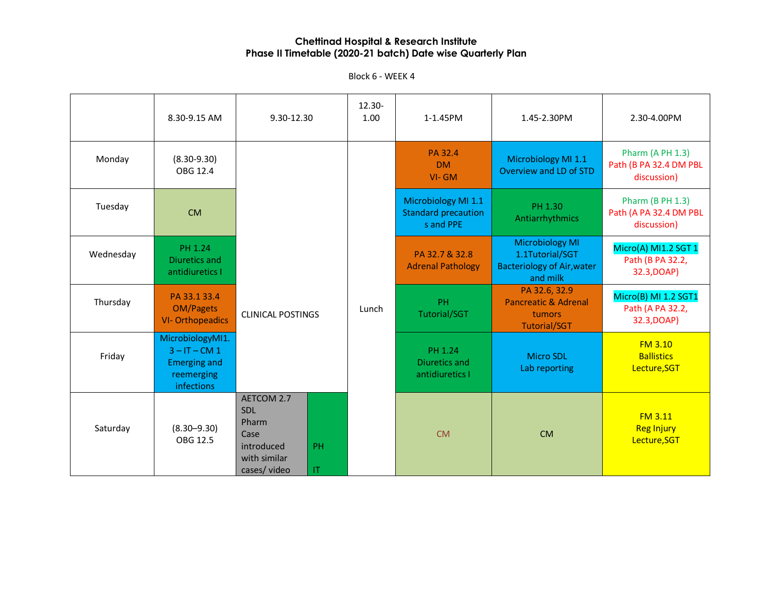|           | 8.30-9.15 AM                                                                           | 9.30-12.30                                                                                                             | 12.30-<br>1.00 | 1-1.45PM                                                       | 1.45-2.30PM                                                                                | 2.30-4.00PM                                                      |
|-----------|----------------------------------------------------------------------------------------|------------------------------------------------------------------------------------------------------------------------|----------------|----------------------------------------------------------------|--------------------------------------------------------------------------------------------|------------------------------------------------------------------|
| Monday    | $(8.30 - 9.30)$<br>OBG 12.4                                                            |                                                                                                                        |                | PA 32.4<br>DM.<br>VI-GM                                        | Microbiology MI 1.1<br>Overview and LD of STD                                              | Pharm (A PH 1.3)<br>Path (B PA 32.4 DM PBL<br>discussion)        |
| Tuesday   | <b>CM</b>                                                                              |                                                                                                                        |                | Microbiology MI 1.1<br><b>Standard precaution</b><br>s and PPE | PH 1.30<br>Antiarrhythmics                                                                 | <b>Pharm (B PH 1.3)</b><br>Path (A PA 32.4 DM PBL<br>discussion) |
| Wednesday | PH 1.24<br>Diuretics and<br>antidiuretics I                                            |                                                                                                                        |                | PA 32.7 & 32.8<br><b>Adrenal Pathology</b>                     | <b>Microbiology MI</b><br>1.1Tutorial/SGT<br><b>Bacteriology of Air, water</b><br>and milk | Micro(A) MI1.2 SGT 1<br>Path (B PA 32.2,<br>32.3, DOAP)          |
| Thursday  | PA 33.1 33.4<br><b>OM/Pagets</b><br><b>VI-Orthopeadics</b>                             | <b>CLINICAL POSTINGS</b>                                                                                               | Lunch          | PH<br><b>Tutorial/SGT</b>                                      | PA 32.6, 32.9<br><b>Pancreatic &amp; Adrenal</b><br>tumors<br><b>Tutorial/SGT</b>          | Micro(B) MI 1.2 SGT1<br>Path (A PA 32.2,<br>32.3, DOAP)          |
| Friday    | MicrobiologyMI1.<br>$3 - IT - CM 1$<br><b>Emerging and</b><br>reemerging<br>infections |                                                                                                                        |                | PH 1.24<br>Diuretics and<br>antidiuretics I                    | <b>Micro SDL</b><br>Lab reporting                                                          | <b>FM 3.10</b><br><b>Ballistics</b><br>Lecture, SGT              |
| Saturday  | $(8.30 - 9.30)$<br>OBG 12.5                                                            | <b>AETCOM 2.7</b><br>SDL<br>Pharm<br>Case<br>introduced<br>PH<br>with similar<br>$\mathsf{I}\mathsf{T}$<br>cases/video |                | <b>CM</b>                                                      | <b>CM</b>                                                                                  | <b>FM 3.11</b><br><b>Reg Injury</b><br>Lecture, SGT              |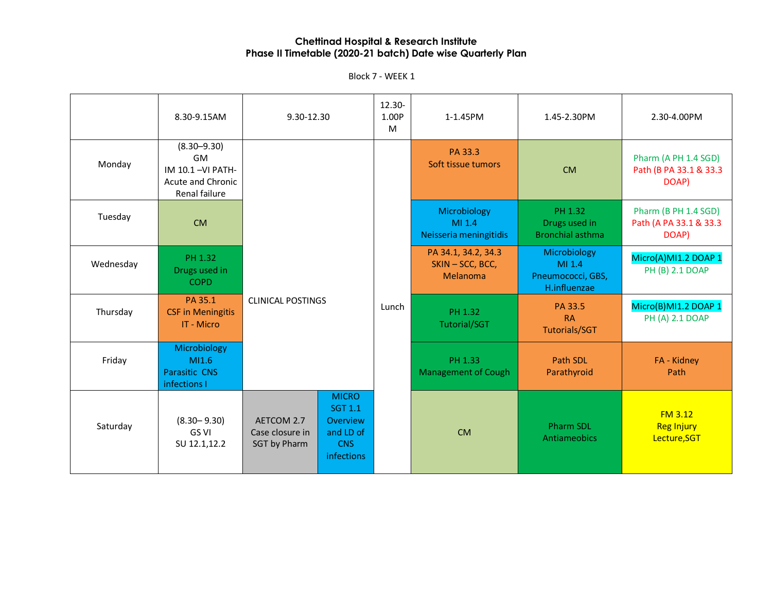|           | 8.30-9.15AM                                                                            | 9.30-12.30                                    |                                                                                                   | 12.30-<br>1.00P<br>M | 1-1.45PM                                          | 1.45-2.30PM                                                 | 2.30-4.00PM                                             |
|-----------|----------------------------------------------------------------------------------------|-----------------------------------------------|---------------------------------------------------------------------------------------------------|----------------------|---------------------------------------------------|-------------------------------------------------------------|---------------------------------------------------------|
| Monday    | $(8.30 - 9.30)$<br>GM<br>IM 10.1-VI PATH-<br><b>Acute and Chronic</b><br>Renal failure |                                               |                                                                                                   |                      | PA 33.3<br>Soft tissue tumors                     | <b>CM</b>                                                   | Pharm (A PH 1.4 SGD)<br>Path (B PA 33.1 & 33.3<br>DOAP) |
| Tuesday   | CM                                                                                     |                                               |                                                                                                   |                      | Microbiology<br>MI 1.4<br>Neisseria meningitidis  | PH 1.32<br>Drugs used in<br><b>Bronchial asthma</b>         | Pharm (B PH 1.4 SGD)<br>Path (A PA 33.1 & 33.3<br>DOAP) |
| Wednesday | PH 1.32<br>Drugs used in<br><b>COPD</b>                                                |                                               |                                                                                                   |                      | PA 34.1, 34.2, 34.3<br>SKIN-SCC, BCC,<br>Melanoma | Microbiology<br>MI 1.4<br>Pneumococci, GBS,<br>H.influenzae | Micro(A)MI1.2 DOAP 1<br>PH (B) 2.1 DOAP                 |
| Thursday  | PA 35.1<br><b>CSF in Meningitis</b><br>IT - Micro                                      | <b>CLINICAL POSTINGS</b>                      |                                                                                                   | Lunch                | PH 1.32<br>Tutorial/SGT                           | PA 33.5<br><b>RA</b><br><b>Tutorials/SGT</b>                | Micro(B)MI1.2 DOAP 1<br>PH (A) 2.1 DOAP                 |
| Friday    | Microbiology<br>MI1.6<br><b>Parasitic CNS</b><br>infections I                          |                                               |                                                                                                   |                      | PH 1.33<br><b>Management of Cough</b>             | Path SDL<br>Parathyroid                                     | FA - Kidney<br>Path                                     |
| Saturday  | $(8.30 - 9.30)$<br>GS VI<br>SU 12.1,12.2                                               | AETCOM 2.7<br>Case closure in<br>SGT by Pharm | <b>MICRO</b><br><b>SGT 1.1</b><br><b>Overview</b><br>and LD of<br><b>CNS</b><br><b>infections</b> |                      | <b>CM</b>                                         | <b>Pharm SDL</b><br>Antiameobics                            | <b>FM 3.12</b><br><b>Reg Injury</b><br>Lecture, SGT     |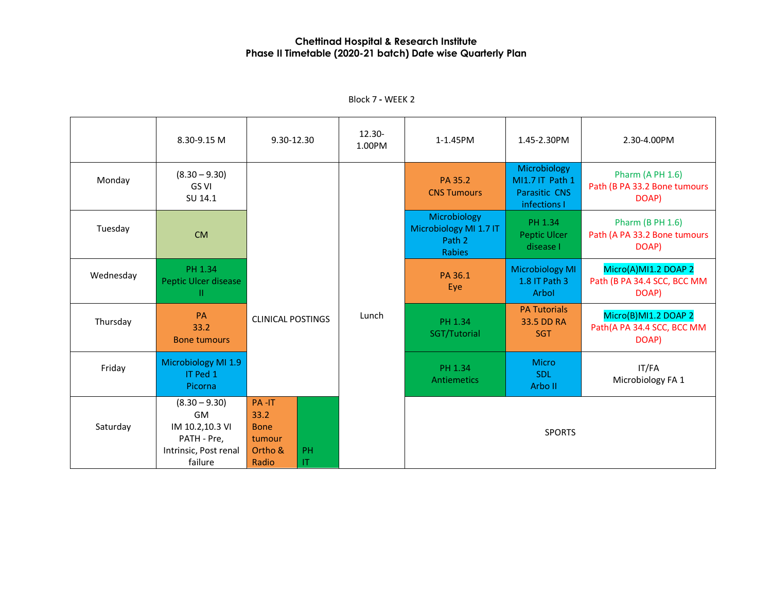|           | 8.30-9.15 M                                                                                 | 9.30-12.30                                                 |                              | 12.30-<br>1.00PM | 1-1.45PM                                                   | 1.45-2.30PM                                                             | 2.30-4.00PM                                                      |
|-----------|---------------------------------------------------------------------------------------------|------------------------------------------------------------|------------------------------|------------------|------------------------------------------------------------|-------------------------------------------------------------------------|------------------------------------------------------------------|
| Monday    | $(8.30 - 9.30)$<br>GS VI<br>SU 14.1                                                         |                                                            |                              |                  | PA 35.2<br><b>CNS Tumours</b>                              | Microbiology<br>MI1.7 IT Path 1<br><b>Parasitic CNS</b><br>infections I | <b>Pharm (A PH 1.6)</b><br>Path (B PA 33.2 Bone tumours<br>DOAP) |
| Tuesday   | <b>CM</b>                                                                                   |                                                            |                              |                  | Microbiology<br>Microbiology MI 1.7 IT<br>Path 2<br>Rabies | PH 1.34<br>Peptic Ulcer<br>disease I                                    | <b>Pharm (B PH 1.6)</b><br>Path (A PA 33.2 Bone tumours<br>DOAP) |
| Wednesday | PH 1.34<br><b>Peptic Ulcer disease</b><br>Ш                                                 |                                                            |                              |                  | PA 36.1<br>Eye                                             | <b>Microbiology MI</b><br>1.8 IT Path 3<br>Arbol                        | Micro(A)MI1.2 DOAP 2<br>Path (B PA 34.4 SCC, BCC MM<br>DOAP)     |
| Thursday  | PA<br>33.2<br><b>Bone tumours</b>                                                           |                                                            | <b>CLINICAL POSTINGS</b>     |                  | PH 1.34<br>SGT/Tutorial                                    | <b>PA Tutorials</b><br>33.5 DD RA<br><b>SGT</b>                         | Micro(B)MI1.2 DOAP 2<br>Path(A PA 34.4 SCC, BCC MM<br>DOAP)      |
| Friday    | Microbiology MI 1.9<br>IT Ped 1<br>Picorna                                                  |                                                            |                              |                  | PH 1.34<br>Antiemetics                                     | <b>Micro</b><br><b>SDL</b><br>Arbo II                                   | IT/FA<br>Microbiology FA 1                                       |
| Saturday  | $(8.30 - 9.30)$<br>GM<br>IM 10.2,10.3 VI<br>PATH - Pre,<br>Intrinsic, Post renal<br>failure | PA-IT<br>33.2<br><b>Bone</b><br>tumour<br>Ortho &<br>Radio | PH<br>$\mathsf{I}\mathsf{T}$ |                  |                                                            | <b>SPORTS</b>                                                           |                                                                  |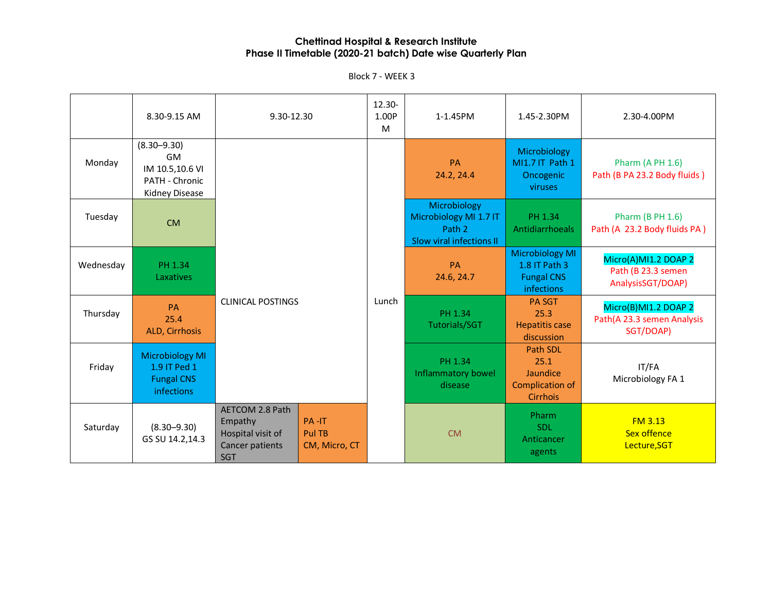|           | 8.30-9.15 AM                                                                        | 9.30-12.30                                                                       |                                  | 12.30-<br>1.00P<br>M | 1-1.45PM                                                                     | 1.45-2.30PM                                                                       | 2.30-4.00PM                                                     |
|-----------|-------------------------------------------------------------------------------------|----------------------------------------------------------------------------------|----------------------------------|----------------------|------------------------------------------------------------------------------|-----------------------------------------------------------------------------------|-----------------------------------------------------------------|
| Monday    | $(8.30 - 9.30)$<br><b>GM</b><br>IM 10.5,10.6 VI<br>PATH - Chronic<br>Kidney Disease |                                                                                  |                                  | Lunch                | <b>PA</b><br>24.2, 24.4                                                      | Microbiology<br>MI1.7 IT Path 1<br>Oncogenic<br>viruses                           | <b>Pharm (A PH 1.6)</b><br>Path (B PA 23.2 Body fluids)         |
| Tuesday   | <b>CM</b>                                                                           |                                                                                  |                                  |                      | Microbiology<br>Microbiology MI 1.7 IT<br>Path 2<br>Slow viral infections II | PH 1.34<br>Antidiarrhoeals                                                        | <b>Pharm (B PH 1.6)</b><br>Path (A 23.2 Body fluids PA)         |
| Wednesday | PH 1.34<br>Laxatives                                                                |                                                                                  |                                  |                      | PA<br>24.6, 24.7                                                             | <b>Microbiology MI</b><br>1.8 IT Path 3<br><b>Fungal CNS</b><br><b>infections</b> | Micro(A)MI1.2 DOAP 2<br>Path (B 23.3 semen<br>AnalysisSGT/DOAP) |
| Thursday  | <b>PA</b><br>25.4<br>ALD, Cirrhosis                                                 | <b>CLINICAL POSTINGS</b>                                                         |                                  |                      | PH 1.34<br>Tutorials/SGT                                                     | <b>PA SGT</b><br>25.3<br><b>Hepatitis case</b><br>discussion                      | Micro(B)MI1.2 DOAP 2<br>Path(A 23.3 semen Analysis<br>SGT/DOAP) |
| Friday    | <b>Microbiology MI</b><br>1.9 IT Ped 1<br><b>Fungal CNS</b><br><b>infections</b>    |                                                                                  |                                  |                      | PH 1.34<br><b>Inflammatory bowel</b><br>disease                              | Path SDL<br>25.1<br>Jaundice<br><b>Complication of</b><br><b>Cirrhois</b>         | IT/FA<br>Microbiology FA 1                                      |
| Saturday  | $(8.30 - 9.30)$<br>GS SU 14.2,14.3                                                  | AETCOM 2.8 Path<br>Empathy<br>Hospital visit of<br>Cancer patients<br><b>SGT</b> | PA-IT<br>Pul TB<br>CM, Micro, CT |                      | <b>CM</b>                                                                    | Pharm<br><b>SDL</b><br>Anticancer<br>agents                                       | FM3.13<br><b>Sex offence</b><br>Lecture, SGT                    |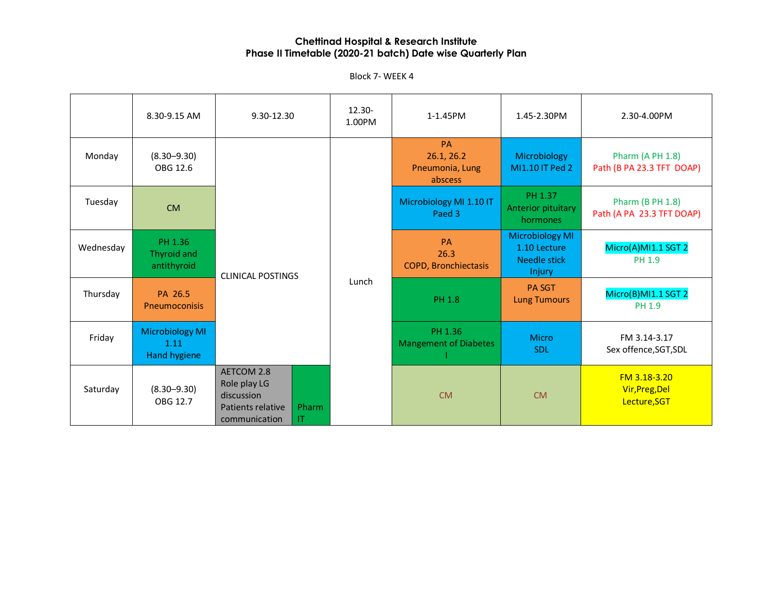Block 7- WEEK 4

|           | 8.30-9.15 AM                                   | 9.30-12.30                                                                                            | 12.30-<br>1.00PM | 1-1.45PM                                              | 1.45-2.30PM                                                                    | 2.30-4.00PM                                          |
|-----------|------------------------------------------------|-------------------------------------------------------------------------------------------------------|------------------|-------------------------------------------------------|--------------------------------------------------------------------------------|------------------------------------------------------|
| Monday    | $(8.30 - 9.30)$<br>OBG 12.6                    |                                                                                                       |                  | <b>PA</b><br>26.1, 26.2<br>Pneumonia, Lung<br>abscess | Microbiology<br>MI1.10 IT Ped 2                                                | <b>Pharm (A PH 1.8)</b><br>Path (B PA 23.3 TFT DOAP) |
| Tuesday   | <b>CM</b>                                      |                                                                                                       |                  | Microbiology MI 1.10 IT<br>Paed 3                     | PH 1.37<br>Anterior pituitary<br>hormones                                      | <b>Pharm (B PH 1.8)</b><br>Path (A PA 23.3 TFT DOAP) |
| Wednesday | PH 1.36<br>Thyroid and<br>antithyroid          | <b>CLINICAL POSTINGS</b>                                                                              |                  | <b>PA</b><br>26.3<br><b>COPD, Bronchiectasis</b>      | <b>Microbiology MI</b><br>1.10 Lecture<br><b>Needle stick</b><br><b>Injury</b> | Micro(A)MI1.1 SGT 2<br>PH 1.9                        |
| Thursday  | PA 26.5<br><b>Pneumoconisis</b>                |                                                                                                       | Lunch            | <b>PH 1.8</b>                                         | <b>PA SGT</b><br><b>Lung Tumours</b>                                           | Micro(B)MI1.1 SGT 2<br>PH 1.9                        |
| Friday    | <b>Microbiology MI</b><br>1.11<br>Hand hygiene |                                                                                                       |                  | PH 1.36<br><b>Mangement of Diabetes</b>               | <b>Micro</b><br><b>SDL</b>                                                     | FM 3.14-3.17<br>Sex offence, SGT, SDL                |
| Saturday  | $(8.30 - 9.30)$<br>OBG 12.7                    | AETCOM 2.8<br>Role play LG<br>discussion<br><b>Patients relative</b><br>Pharm<br>communication<br>IT. |                  | <b>CM</b>                                             | <b>CM</b>                                                                      | FM 3.18-3.20<br>Vir, Preg, Del<br>Lecture, SGT       |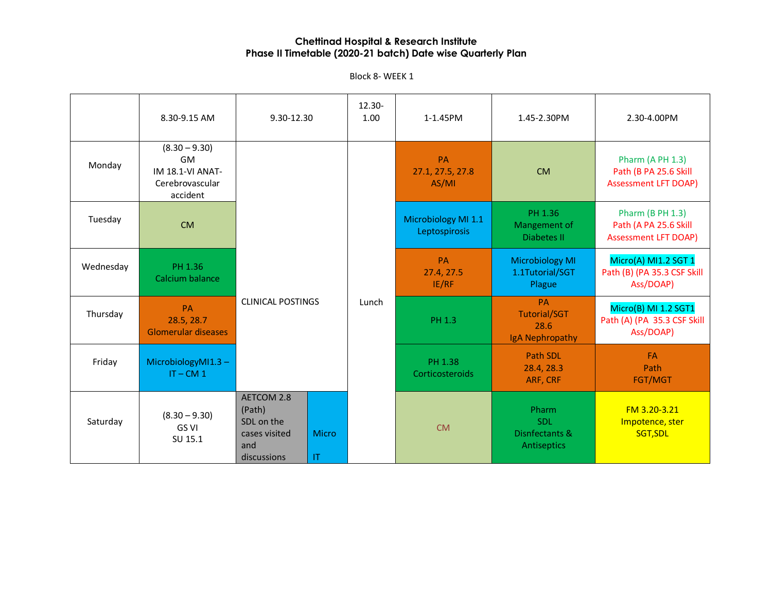Block 8- WEEK 1

|           | 8.30-9.15 AM                                                                    | 9.30-12.30                                                                |                           | 12.30-<br>1.00 | 1-1.45PM                             | 1.45-2.30PM                                                 | 2.30-4.00PM                                                                     |
|-----------|---------------------------------------------------------------------------------|---------------------------------------------------------------------------|---------------------------|----------------|--------------------------------------|-------------------------------------------------------------|---------------------------------------------------------------------------------|
| Monday    | $(8.30 - 9.30)$<br>GM<br><b>IM 18.1-VI ANAT-</b><br>Cerebrovascular<br>accident |                                                                           |                           |                | PA<br>27.1, 27.5, 27.8<br>AS/MI      | <b>CM</b>                                                   | Pharm (A PH 1.3)<br>Path (B PA 25.6 Skill<br><b>Assessment LFT DOAP)</b>        |
| Tuesday   | <b>CM</b>                                                                       |                                                                           |                           |                | Microbiology MI 1.1<br>Leptospirosis | PH 1.36<br>Mangement of<br>Diabetes II                      | <b>Pharm (B PH 1.3)</b><br>Path (A PA 25.6 Skill<br><b>Assessment LFT DOAP)</b> |
| Wednesday | PH 1.36<br>Calcium balance                                                      |                                                                           |                           |                | PA<br>27.4, 27.5<br>IE/RF            | <b>Microbiology MI</b><br>1.1Tutorial/SGT<br>Plague         | Micro(A) MI1.2 SGT 1<br>Path (B) (PA 35.3 CSF Skill<br>Ass/DOAP)                |
| Thursday  | <b>PA</b><br>28.5, 28.7<br><b>Glomerular diseases</b>                           | <b>CLINICAL POSTINGS</b>                                                  |                           | Lunch          | PH 1.3                               | <b>PA</b><br><b>Tutorial/SGT</b><br>28.6<br>IgA Nephropathy | Micro(B) MI 1.2 SGT1<br>Path (A) (PA 35.3 CSF Skill<br>Ass/DOAP)                |
| Friday    | MicrobiologyMI1.3-<br>$IT - CM 1$                                               |                                                                           |                           |                | PH 1.38<br>Corticosteroids           | Path SDL<br>28.4, 28.3<br>ARF, CRF                          | <b>FA</b><br>Path<br>FGT/MGT                                                    |
| Saturday  | $(8.30 - 9.30)$<br><b>GS VI</b><br>SU 15.1                                      | AETCOM 2.8<br>(Path)<br>SDL on the<br>cases visited<br>and<br>discussions | <b>Micro</b><br><b>IT</b> |                | <b>CM</b>                            | Pharm<br><b>SDL</b><br>Disnfectants &<br>Antiseptics        | FM 3.20-3.21<br>Impotence, ster<br>SGT, SDL                                     |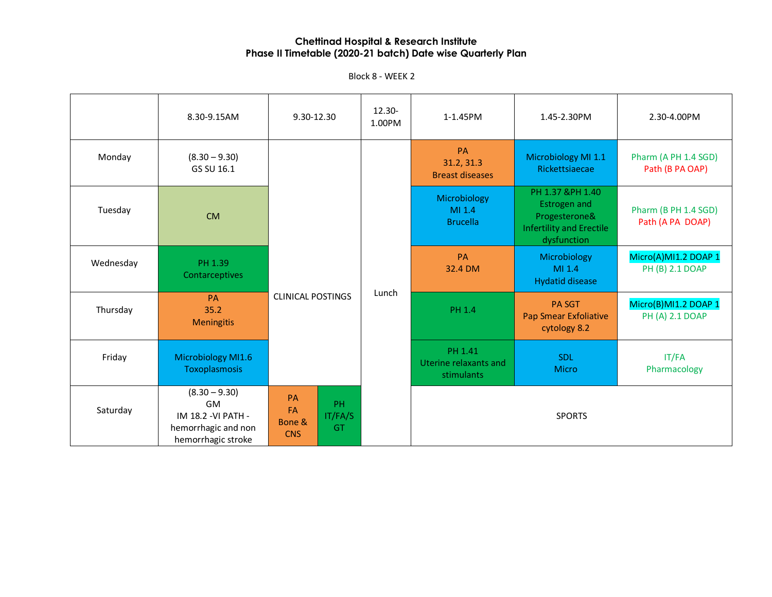|           | 8.30-9.15AM                                                                                      | 9.30-12.30                                               | 12.30-<br>1.00PM | 1-1.45PM                                       | 1.45-2.30PM                                                                                                | 2.30-4.00PM                              |
|-----------|--------------------------------------------------------------------------------------------------|----------------------------------------------------------|------------------|------------------------------------------------|------------------------------------------------------------------------------------------------------------|------------------------------------------|
| Monday    | $(8.30 - 9.30)$<br>GS SU 16.1                                                                    |                                                          |                  | PA<br>31.2, 31.3<br><b>Breast diseases</b>     | Microbiology MI 1.1<br>Rickettsiaecae                                                                      | Pharm (A PH 1.4 SGD)<br>Path (B PA OAP)  |
| Tuesday   | <b>CM</b>                                                                                        |                                                          | Lunch            | Microbiology<br>MI 1.4<br><b>Brucella</b>      | PH 1.37 &PH 1.40<br><b>Estrogen and</b><br>Progesterone&<br><b>Infertility and Erectile</b><br>dysfunction | Pharm (B PH 1.4 SGD)<br>Path (A PA DOAP) |
| Wednesday | PH 1.39<br>Contarceptives                                                                        |                                                          |                  | PA<br>32.4 DM                                  | Microbiology<br>MI 1.4<br><b>Hydatid disease</b>                                                           | Micro(A)MI1.2 DOAP 1<br>PH (B) 2.1 DOAP  |
| Thursday  | <b>PA</b><br>35.2<br><b>Meningitis</b>                                                           | <b>CLINICAL POSTINGS</b>                                 |                  | PH 1.4                                         | <b>PA SGT</b><br><b>Pap Smear Exfoliative</b><br>cytology 8.2                                              | Micro(B)MI1.2 DOAP 1<br>PH (A) 2.1 DOAP  |
| Friday    | Microbiology MI1.6<br>Toxoplasmosis                                                              |                                                          |                  | PH 1.41<br>Uterine relaxants and<br>stimulants | SDL<br><b>Micro</b>                                                                                        | IT/FA<br>Pharmacology                    |
| Saturday  | $(8.30 - 9.30)$<br><b>GM</b><br>IM 18.2 - VI PATH -<br>hemorrhagic and non<br>hemorrhagic stroke | PA<br>PH.<br>FA<br>IT/FA/S<br>Bone &<br>GT<br><b>CNS</b> |                  |                                                | <b>SPORTS</b>                                                                                              |                                          |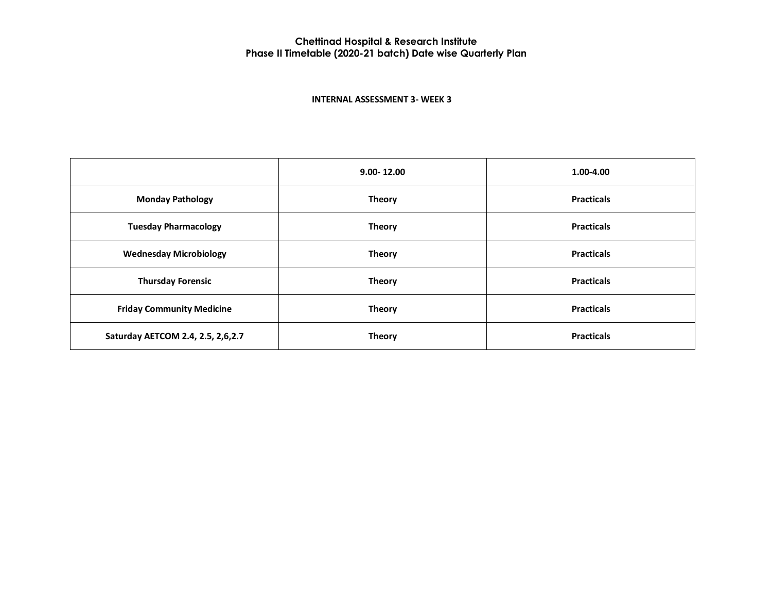#### **INTERNAL ASSESSMENT 3- WEEK 3**

|                                   | $9.00 - 12.00$ | 1.00-4.00         |
|-----------------------------------|----------------|-------------------|
| <b>Monday Pathology</b>           | <b>Theory</b>  | <b>Practicals</b> |
| <b>Tuesday Pharmacology</b>       | <b>Theory</b>  | <b>Practicals</b> |
| <b>Wednesday Microbiology</b>     | <b>Theory</b>  | <b>Practicals</b> |
| <b>Thursday Forensic</b>          | <b>Theory</b>  | <b>Practicals</b> |
| <b>Friday Community Medicine</b>  | <b>Theory</b>  | <b>Practicals</b> |
| Saturday AETCOM 2.4, 2.5, 2,6,2.7 | <b>Theory</b>  | <b>Practicals</b> |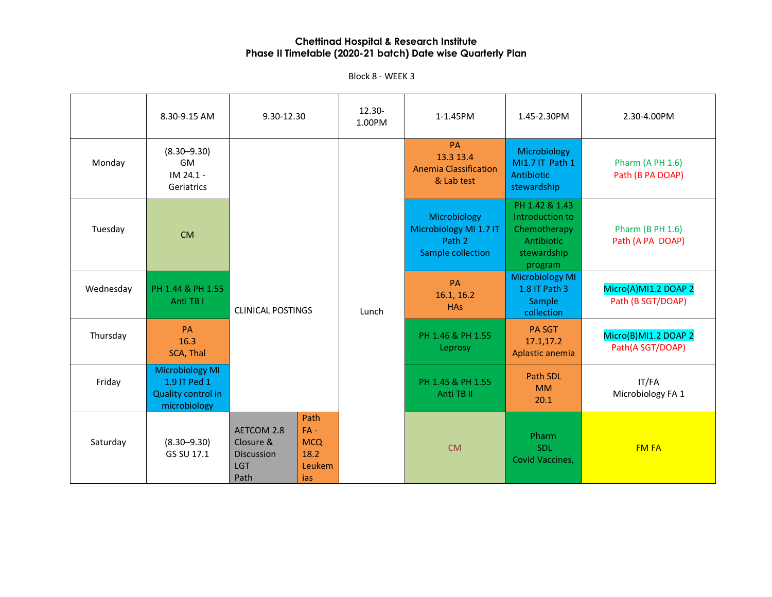|           | 8.30-9.15 AM                                                                 | 9.30-12.30                                                         |                                                       | $12.30 -$<br>1.00PM | 1-1.45PM                                                              | 1.45-2.30PM                                                                               | 2.30-4.00PM                                 |
|-----------|------------------------------------------------------------------------------|--------------------------------------------------------------------|-------------------------------------------------------|---------------------|-----------------------------------------------------------------------|-------------------------------------------------------------------------------------------|---------------------------------------------|
| Monday    | $(8.30 - 9.30)$<br><b>GM</b><br>IM 24.1 -<br>Geriatrics                      |                                                                    |                                                       |                     | <b>PA</b><br>13.3 13.4<br><b>Anemia Classification</b><br>& Lab test  | Microbiology<br>MI1.7 IT Path 1<br>Antibiotic<br>stewardship                              | <b>Pharm (A PH 1.6)</b><br>Path (B PA DOAP) |
| Tuesday   | <b>CM</b>                                                                    |                                                                    |                                                       |                     | Microbiology<br>Microbiology MI 1.7 IT<br>Path 2<br>Sample collection | PH 1.42 & 1.43<br>Introduction to<br>Chemotherapy<br>Antibiotic<br>stewardship<br>program | <b>Pharm (B PH 1.6)</b><br>Path (A PA DOAP) |
| Wednesday | PH 1.44 & PH 1.55<br>Anti TB I                                               | <b>CLINICAL POSTINGS</b>                                           |                                                       | Lunch               | <b>PA</b><br>16.1, 16.2<br><b>HAs</b>                                 | <b>Microbiology MI</b><br>1.8 IT Path 3<br>Sample<br>collection                           | Micro(A)MI1.2 DOAP 2<br>Path (B SGT/DOAP)   |
| Thursday  | PA<br>16.3<br>SCA, Thal                                                      |                                                                    |                                                       |                     | PH 1.46 & PH 1.55<br>Leprosy                                          | <b>PA SGT</b><br>17.1,17.2<br>Aplastic anemia                                             | Micro(B)MI1.2 DOAP 2<br>Path(A SGT/DOAP)    |
| Friday    | <b>Microbiology MI</b><br>1.9 IT Ped 1<br>Quality control in<br>microbiology |                                                                    |                                                       |                     | PH 1.45 & PH 1.55<br>Anti TB II                                       | Path SDL<br><b>MM</b><br>20.1                                                             | IT/FA<br>Microbiology FA 1                  |
| Saturday  | $(8.30 - 9.30)$<br>GS SU 17.1                                                | AETCOM 2.8<br>Closure &<br><b>Discussion</b><br><b>LGT</b><br>Path | Path<br>$FA -$<br><b>MCQ</b><br>18.2<br>Leukem<br>ias |                     | <b>CM</b>                                                             | Pharm<br>SDL<br>Covid Vaccines,                                                           | <b>FM FA</b>                                |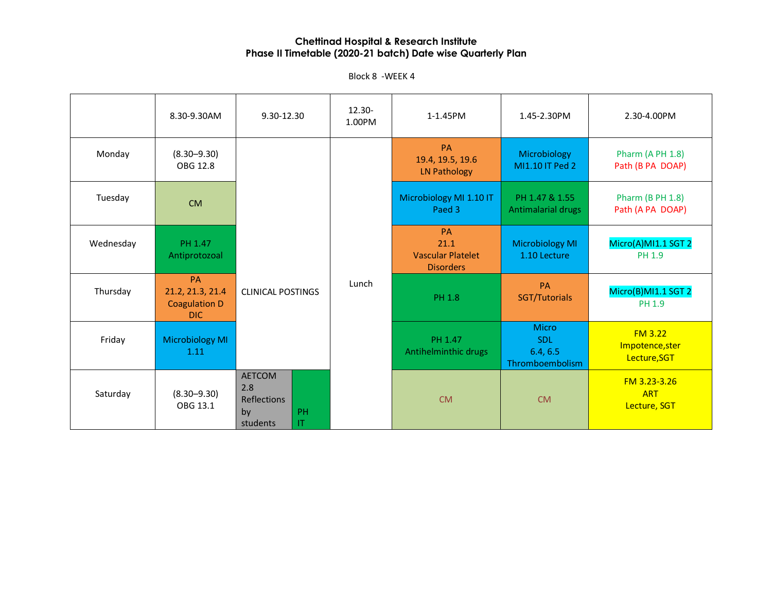Block 8 -WEEK 4

|           | 8.30-9.30AM                                                   | 9.30-12.30                                                                | $12.30 -$<br>1.00PM | 1-1.45PM                                                          | 1.45-2.30PM                                               | 2.30-4.00PM                                 |
|-----------|---------------------------------------------------------------|---------------------------------------------------------------------------|---------------------|-------------------------------------------------------------------|-----------------------------------------------------------|---------------------------------------------|
| Monday    | $(8.30 - 9.30)$<br>OBG 12.8                                   |                                                                           |                     | PA<br>19.4, 19.5, 19.6<br><b>LN Pathology</b>                     | Microbiology<br>MI1.10 IT Ped 2                           | <b>Pharm (A PH 1.8)</b><br>Path (B PA DOAP) |
| Tuesday   | <b>CM</b>                                                     |                                                                           |                     | Microbiology MI 1.10 IT<br>Paed 3                                 | PH 1.47 & 1.55<br>Antimalarial drugs                      | <b>Pharm (B PH 1.8)</b><br>Path (A PA DOAP) |
| Wednesday | PH 1.47<br>Antiprotozoal                                      |                                                                           |                     | <b>PA</b><br>21.1<br><b>Vascular Platelet</b><br><b>Disorders</b> | <b>Microbiology MI</b><br>1.10 Lecture                    | Micro(A)MI1.1 SGT 2<br>PH 1.9               |
| Thursday  | <b>PA</b><br>21.2, 21.3, 21.4<br><b>Coagulation D</b><br>DIC. | <b>CLINICAL POSTINGS</b>                                                  | Lunch               | <b>PH 1.8</b>                                                     | PA<br>SGT/Tutorials                                       | Micro(B)MI1.1 SGT 2<br>PH 1.9               |
| Friday    | Microbiology MI<br>1.11                                       |                                                                           |                     | PH 1.47<br>Antihelminthic drugs                                   | <b>Micro</b><br><b>SDL</b><br>6.4, 6.5<br>Thromboembolism | FM3.22<br>Impotence, ster<br>Lecture, SGT   |
| Saturday  | $(8.30 - 9.30)$<br>OBG 13.1                                   | <b>AETCOM</b><br>2.8<br><b>Reflections</b><br>PH<br>by<br>students<br>IT. |                     | <b>CM</b>                                                         | <b>CM</b>                                                 | FM 3.23-3.26<br><b>ART</b><br>Lecture, SGT  |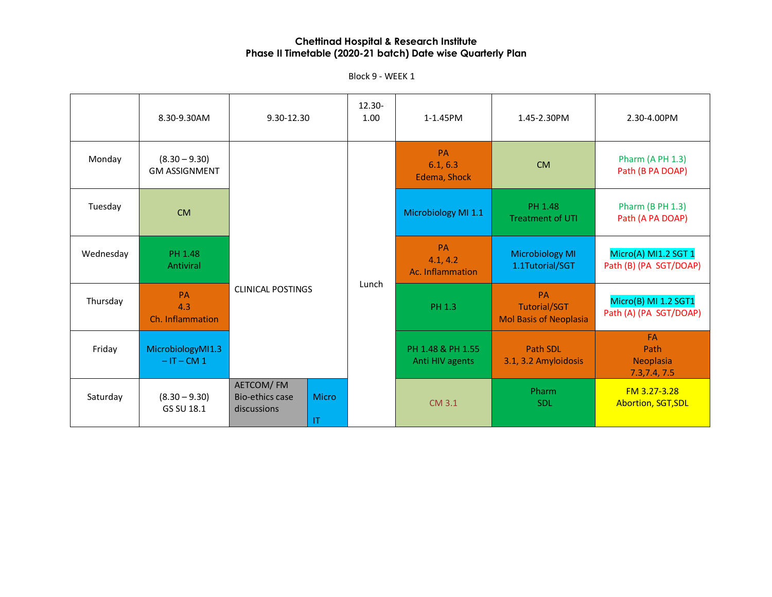|           | 8.30-9.30AM                             | 9.30-12.30                                               |              | 12.30-<br>1.00 | 1-1.45PM                                  | 1.45-2.30PM                               | 2.30-4.00PM                                     |                                                            |                                                |
|-----------|-----------------------------------------|----------------------------------------------------------|--------------|----------------|-------------------------------------------|-------------------------------------------|-------------------------------------------------|------------------------------------------------------------|------------------------------------------------|
| Monday    | $(8.30 - 9.30)$<br><b>GM ASSIGNMENT</b> |                                                          |              |                | <b>PA</b><br>6.1, 6.3<br>Edema, Shock     | <b>CM</b>                                 | Pharm (A PH 1.3)<br>Path (B PA DOAP)            |                                                            |                                                |
| Tuesday   | <b>CM</b>                               |                                                          |              |                | Microbiology MI 1.1                       | PH 1.48<br><b>Treatment of UTI</b>        | Pharm (B PH 1.3)<br>Path (A PA DOAP)            |                                                            |                                                |
| Wednesday | PH 1.48<br>Antiviral                    |                                                          |              |                | <b>PA</b><br>4.1, 4.2<br>Ac. Inflammation | <b>Microbiology MI</b><br>1.1Tutorial/SGT | Micro(A) MI1.2 SGT 1<br>Path (B) (PA SGT/DOAP)  |                                                            |                                                |
| Thursday  | PA<br>4.3<br>Ch. Inflammation           | <b>CLINICAL POSTINGS</b>                                 |              |                |                                           | Lunch                                     | PH 1.3                                          | PA<br><b>Tutorial/SGT</b><br><b>Mol Basis of Neoplasia</b> | Micro(B) MI 1.2 SGT1<br>Path (A) (PA SGT/DOAP) |
| Friday    | MicrobiologyMI1.3<br>$-IT - CM 1$       |                                                          |              |                | PH 1.48 & PH 1.55<br>Anti HIV agents      | <b>Path SDL</b><br>3.1, 3.2 Amyloidosis   | <b>FA</b><br>Path<br>Neoplasia<br>7.3, 7.4, 7.5 |                                                            |                                                |
| Saturday  | $(8.30 - 9.30)$<br>GS SU 18.1           | AETCOM/FM<br><b>Bio-ethics case</b><br>discussions<br>IT | <b>Micro</b> |                | CM 3.1                                    | Pharm<br><b>SDL</b>                       | FM 3.27-3.28<br><b>Abortion, SGT, SDL</b>       |                                                            |                                                |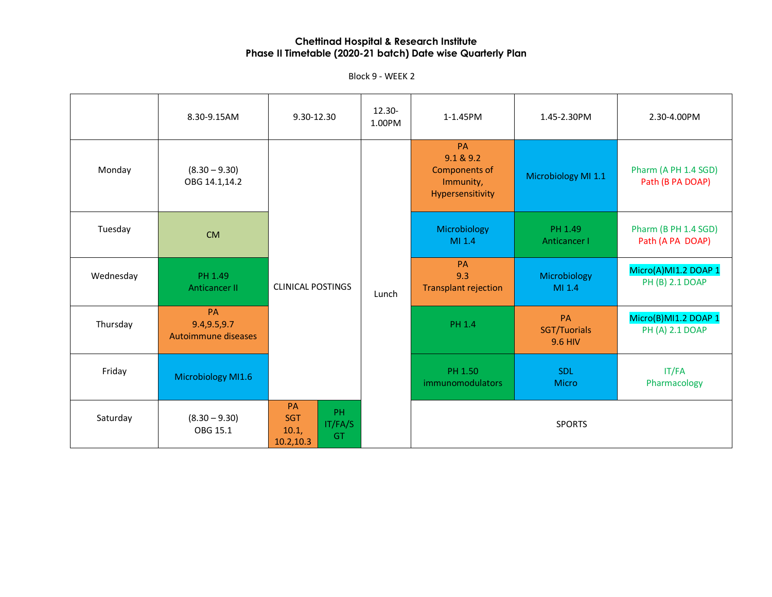|           | 8.30-9.15AM                                | 9.30-12.30                                                     | 12.30-<br>1.00PM | 1-1.45PM                                                                 | 1.45-2.30PM                          | 2.30-4.00PM                              |
|-----------|--------------------------------------------|----------------------------------------------------------------|------------------|--------------------------------------------------------------------------|--------------------------------------|------------------------------------------|
| Monday    | $(8.30 - 9.30)$<br>OBG 14.1,14.2           |                                                                |                  | PA<br>9.1 & 9.2<br><b>Components of</b><br>Immunity,<br>Hypersensitivity | Microbiology MI 1.1                  | Pharm (A PH 1.4 SGD)<br>Path (B PA DOAP) |
| Tuesday   | <b>CM</b>                                  |                                                                |                  | Microbiology<br>MI 1.4                                                   | PH 1.49<br>Anticancer I              | Pharm (B PH 1.4 SGD)<br>Path (A PA DOAP) |
| Wednesday | PH 1.49<br><b>Anticancer II</b>            | <b>CLINICAL POSTINGS</b>                                       | Lunch            | <b>PA</b><br>9.3<br><b>Transplant rejection</b>                          | Microbiology<br>MI 1.4               | Micro(A)MI1.2 DOAP 1<br>PH (B) 2.1 DOAP  |
| Thursday  | PA<br>9.4, 9.5, 9.7<br>Autoimmune diseases |                                                                |                  | <b>PH 1.4</b>                                                            | PA<br>SGT/Tuorials<br><b>9.6 HIV</b> | Micro(B)MI1.2 DOAP 1<br>PH (A) 2.1 DOAP  |
| Friday    | Microbiology MI1.6                         |                                                                |                  | PH 1.50<br>immunomodulators                                              | <b>SDL</b><br><b>Micro</b>           | IT/FA<br>Pharmacology                    |
| Saturday  | $(8.30 - 9.30)$<br>OBG 15.1                | PA<br>PH<br><b>SGT</b><br>IT/FA/S<br>10.1,<br>GT<br>10.2, 10.3 |                  |                                                                          | <b>SPORTS</b>                        |                                          |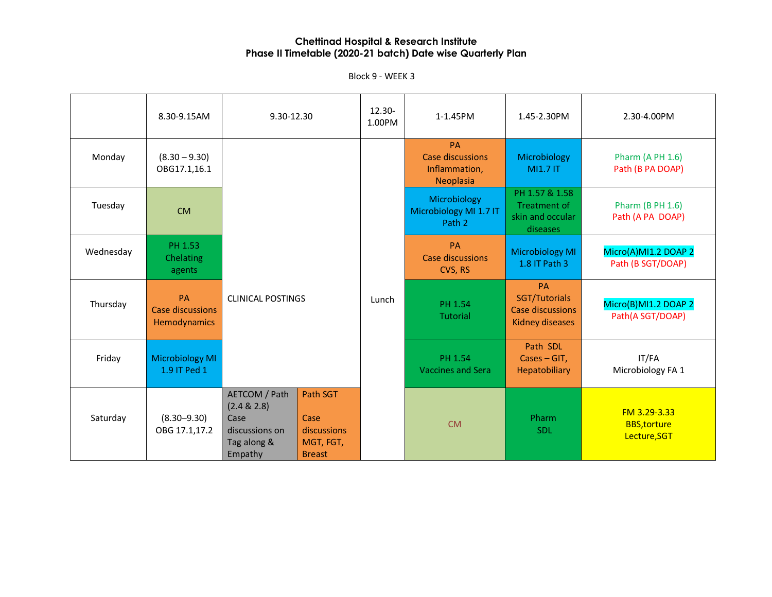|           | 8.30-9.15AM                                   | 9.30-12.30                                                                       |                                                               | 12.30-<br>1.00PM | 1-1.45PM                                                    | 1.45-2.30PM                                                              | 2.30-4.00PM                                       |
|-----------|-----------------------------------------------|----------------------------------------------------------------------------------|---------------------------------------------------------------|------------------|-------------------------------------------------------------|--------------------------------------------------------------------------|---------------------------------------------------|
| Monday    | $(8.30 - 9.30)$<br>OBG17.1,16.1               |                                                                                  |                                                               |                  | <b>PA</b><br>Case discussions<br>Inflammation,<br>Neoplasia | Microbiology<br><b>MI1.7 IT</b>                                          | <b>Pharm (A PH 1.6)</b><br>Path (B PA DOAP)       |
| Tuesday   | <b>CM</b>                                     |                                                                                  |                                                               |                  | Microbiology<br>Microbiology MI 1.7 IT<br>Path 2            | PH 1.57 & 1.58<br>Treatment of<br>skin and occular<br>diseases           | <b>Pharm (B PH 1.6)</b><br>Path (A PA DOAP)       |
| Wednesday | PH 1.53<br>Chelating<br>agents                |                                                                                  |                                                               |                  | <b>PA</b><br><b>Case discussions</b><br>CVS, RS             | <b>Microbiology MI</b><br>1.8 IT Path 3                                  | Micro(A)MI1.2 DOAP 2<br>Path (B SGT/DOAP)         |
| Thursday  | <b>PA</b><br>Case discussions<br>Hemodynamics | <b>CLINICAL POSTINGS</b>                                                         |                                                               | Lunch            | PH 1.54<br><b>Tutorial</b>                                  | <b>PA</b><br>SGT/Tutorials<br>Case discussions<br><b>Kidney diseases</b> | Micro(B)MI1.2 DOAP 2<br>Path(A SGT/DOAP)          |
| Friday    | <b>Microbiology MI</b><br>1.9 IT Ped 1        |                                                                                  |                                                               |                  | PH 1.54<br><b>Vaccines and Sera</b>                         | Path SDL<br>$\textsf{Cases} - \textsf{GIT}$ ,<br>Hepatobiliary           | IT/FA<br>Microbiology FA 1                        |
| Saturday  | $(8.30 - 9.30)$<br>OBG 17.1,17.2              | AETCOM / Path<br>(2.4 & 2.8)<br>Case<br>discussions on<br>Tag along &<br>Empathy | Path SGT<br>Case<br>discussions<br>MGT, FGT,<br><b>Breast</b> |                  | <b>CM</b>                                                   | Pharm<br><b>SDL</b>                                                      | FM 3.29-3.33<br><b>BBS,torture</b><br>Lecture,SGT |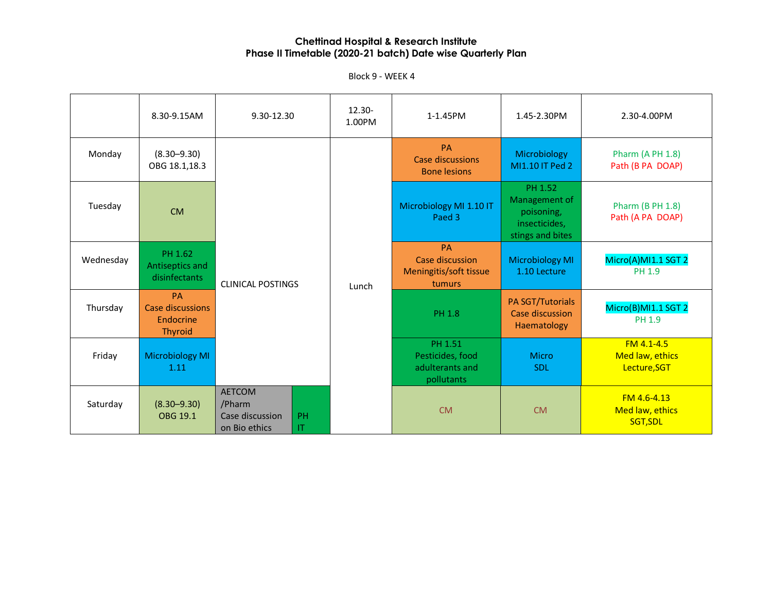|           | 8.30-9.15AM                                                  | 9.30-12.30                                                  |          | 12.30-<br>1.00PM | 1-1.45PM                                                         | 1.45-2.30PM                                                                 | 2.30-4.00PM                                   |
|-----------|--------------------------------------------------------------|-------------------------------------------------------------|----------|------------------|------------------------------------------------------------------|-----------------------------------------------------------------------------|-----------------------------------------------|
| Monday    | $(8.30 - 9.30)$<br>OBG 18.1,18.3                             |                                                             |          |                  | <b>PA</b><br>Case discussions<br><b>Bone lesions</b>             | Microbiology<br>MI1.10 IT Ped 2                                             | <b>Pharm (A PH 1.8)</b><br>Path (B PA DOAP)   |
| Tuesday   | <b>CM</b>                                                    |                                                             |          |                  | Microbiology MI 1.10 IT<br>Paed 3                                | PH 1.52<br>Management of<br>poisoning,<br>insecticides,<br>stings and bites | <b>Pharm (B PH 1.8)</b><br>Path (A PA DOAP)   |
| Wednesday | PH 1.62<br>Antiseptics and<br>disinfectants                  | <b>CLINICAL POSTINGS</b>                                    |          | Lunch            | <b>PA</b><br>Case discussion<br>Meningitis/soft tissue<br>tumurs | <b>Microbiology MI</b><br>1.10 Lecture                                      | Micro(A)MI1.1 SGT 2<br><b>PH 1.9</b>          |
| Thursday  | <b>PA</b><br>Case discussions<br>Endocrine<br><b>Thyroid</b> |                                                             |          |                  | <b>PH 1.8</b>                                                    | PA SGT/Tutorials<br>Case discussion<br>Haematology                          | Micro(B)MI1.1 SGT 2<br>PH 1.9                 |
| Friday    | Microbiology MI<br>1.11                                      |                                                             |          |                  | PH 1.51<br>Pesticides, food<br>adulterants and<br>pollutants     | <b>Micro</b><br><b>SDL</b>                                                  | FM 4.1-4.5<br>Med law, ethics<br>Lecture, SGT |
| Saturday  | $(8.30 - 9.30)$<br>OBG 19.1                                  | <b>AETCOM</b><br>/Pharm<br>Case discussion<br>on Bio ethics | PH<br>IT |                  | <b>CM</b>                                                        | <b>CM</b>                                                                   | FM 4.6-4.13<br>Med law, ethics<br>SGT, SDL    |